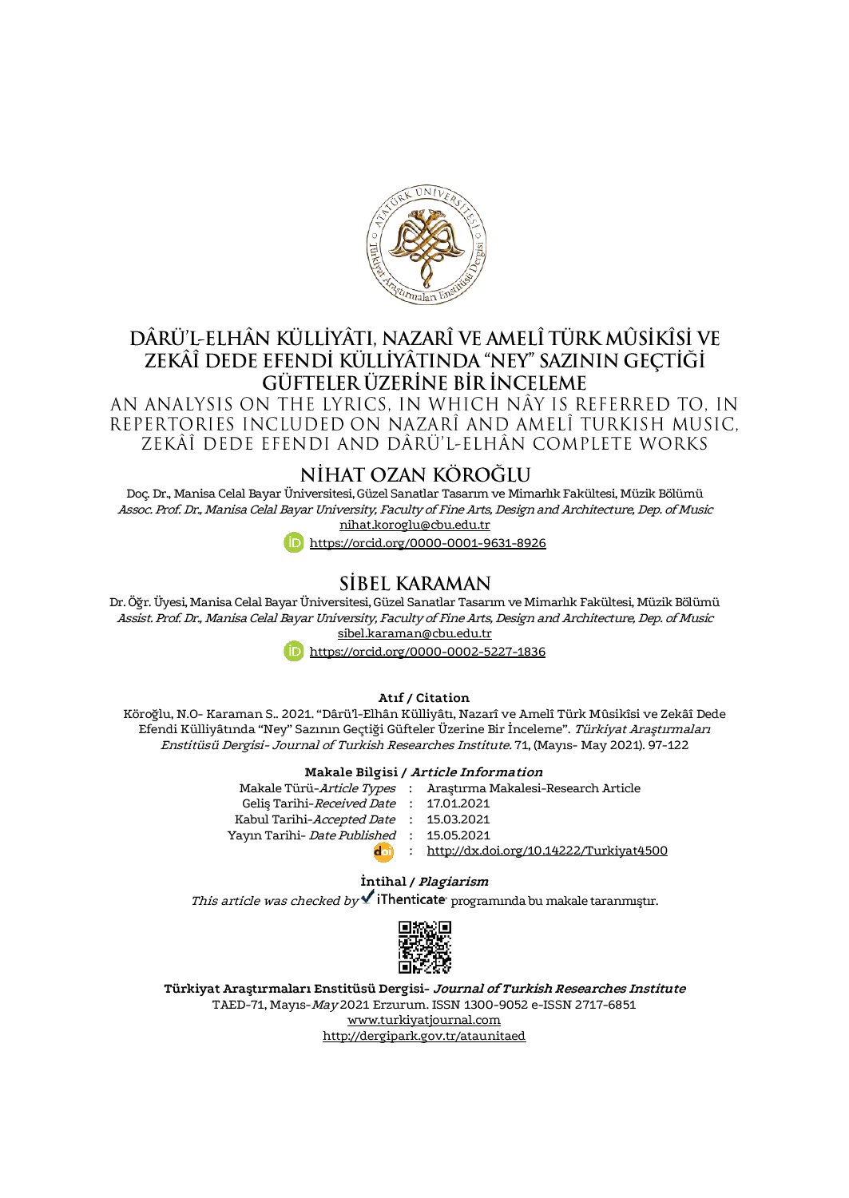

## DÂRÜ'L-ELHÂN KÜLLİYÂTL NAZARÎ VE AMELÎ TÜRK MÛSİKÎSİ VE ZEKÂÎ DEDE EFENDİ KÜLLİYÂTINDA "NEY" SAZININ GECTİĞİ GÜFTELER ÜZERİNE BİR İNCELEME

AN ANALYSIS ON THE LYRICS. IN WHICH NÂY IS REFERRED TO. IN REPERTORIES INCLUDED ON NAZARÎ AND AMELÎ TURKISH MUSIC. ZEKÂÎ DEDE EFENDI AND DÂRÜ'L-ELHÂN COMPLETE WORKS

## NİHAT OZAN KÖROĞLU

Doç. Dr., Manisa Celal Bayar Üniversitesi, Güzel Sanatlar Tasarım ve Mimarlık Fakültesi, Müzik Bölümü Assoc. Prof. Dr., Manisa Celal Bayar University, Faculty of Fine Arts, Design and Architecture, Dep. of Music [nihat.koroglu@cbu.edu.tr](mailto:nihat.koroglu@cbu.edu.tr)

<https://orcid.org/0000-0001-9631-8926>

## SİBEL KARAMAN

Dr. Öğr. Üyesi, Manisa Celal Bayar Üniversitesi, Güzel Sanatlar Tasarım ve Mimarlık Fakültesi, Müzik Bölümü Assist. Prof. Dr., Manisa Celal Bayar University, Faculty of Fine Arts, Design and Architecture, Dep. of Music [sibel.karaman@cbu.edu.tr](mailto:sibel.karaman@cbu.edu.tr)

<https://orcid.org/0000-0002-5227-1836>

#### **Atıf / Citation**

Köroğlu, N.O- Karaman S.. 2021. "Dârü'l-Elhân Külliyâtı, Nazarî ve Amelî Türk Mûsikîsi ve Zekâî Dede Efendi Külliyâtında "Ney" Sazının Geçtiği Güfteler Üzerine Bir İnceleme". Türkiyat Araştırmaları Enstitüsü Dergisi- Journal of Turkish Researches Institute. 71, (Mayıs- May 2021). 97-122

#### **Makale Bilgisi / Article Information**

|                                           | Makale Türü-Article Types : Araştırma Makalesi-Research Article |
|-------------------------------------------|-----------------------------------------------------------------|
| Gelis Tarihi-Received Date : 17.01.2021   |                                                                 |
| Kabul Tarihi-Accepted Date : 15.03.2021   |                                                                 |
| Yayın Tarihi- Date Published : 15.05.2021 |                                                                 |
| dal)                                      | : http://dx.doi.org/10.14222/Turkiyat4500                       |

#### **İntihal / Plagiarism**

This article was checked by **v** iThenticate programında bu makale taranmıştır.



**Türkiyat Araştırmaları Enstitüsü Dergisi- Journal of Turkish Researches Institute** TAED-71, Mayıs-May 2021 Erzurum. ISSN 1300-9052 e-ISSN 2717-6851 [www.turkiyatjournal.com](http://www.turkiyatjournal.com/) <http://dergipark.gov.tr/ataunitaed>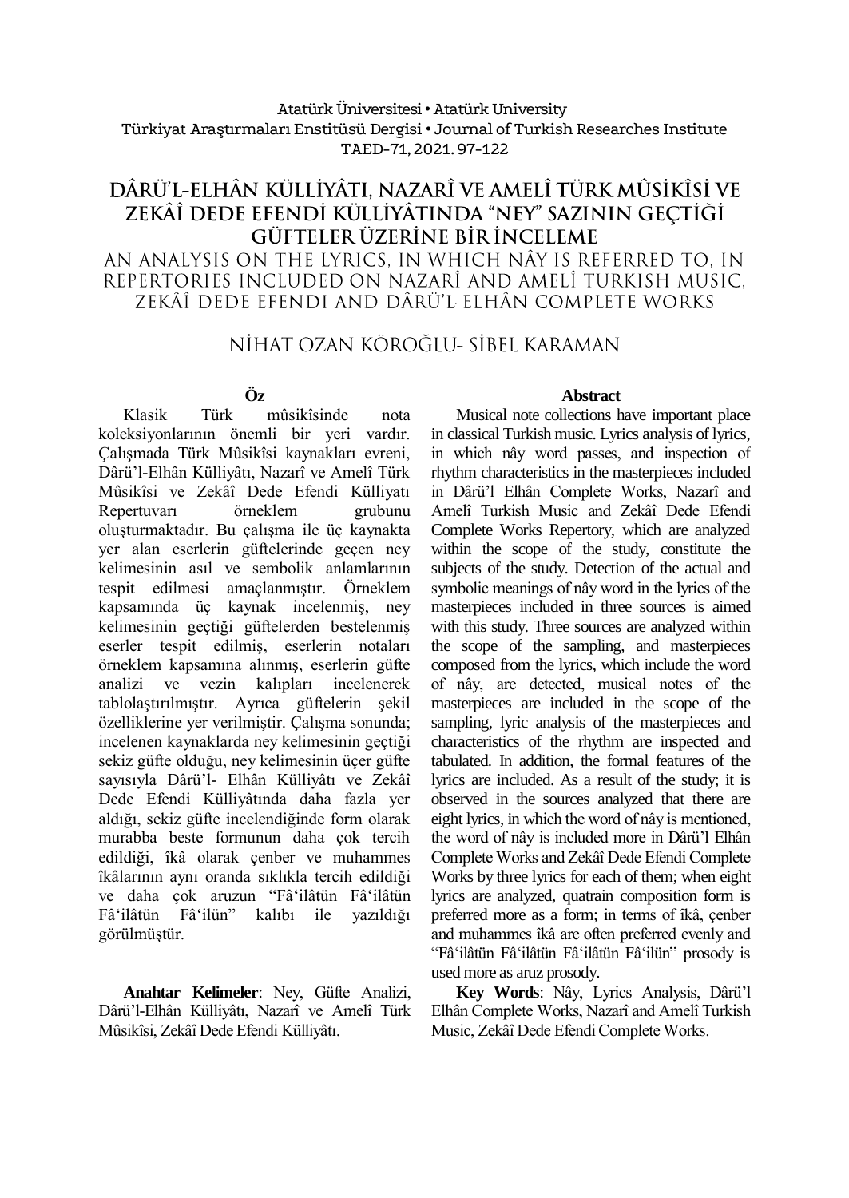#### Atatürk Üniversitesi• Atatürk University Türkiyat Araştırmaları Enstitüsü Dergisi • Journal of Turkish Researches Institute TAED-71, 2021.97-122

# DÂRÜ'L-ELHÂN KÜLLİYÂTI. NAZARÎ VE AMELÎ TÜRK MÛSİKÎSİ VE ZEKÂÎ DEDE EFENDİ KÜLLİYÂTINDA "NEY" SAZININ GEÇTİĞİ GÜFTELER ÜZERİNE BİR İNCELEME

AN ANALYSIS ON THE LYRICS. IN WHICH NÂY IS REFERRED TO. IN REPERTORIES INCLUDED ON NAZARÎ AND AMELÎ TURKISH MUSIC. ZEKÂÎ DEDE EFENDI AND DÂRÜ'L-ELHÂN COMPLETE WORKS

# NİHAT OZAN KÖROĞLU- SİBEL KARAMAN

### **Öz**

Klasik Türk mûsikîsinde nota koleksiyonlarının önemli bir yeri vardır. Çalışmada Türk Mûsikîsi kaynakları evreni, Dârü'l-Elhân Külliyâtı, Nazarî ve Amelî Türk Mûsikîsi ve Zekâî Dede Efendi Külliyatı Repertuvarı örneklem grubunu oluşturmaktadır. Bu çalışma ile üç kaynakta yer alan eserlerin güftelerinde geçen ney kelimesinin asıl ve sembolik anlamlarının tespit edilmesi amaçlanmıştır. Örneklem kapsamında üç kaynak incelenmiş, ney kelimesinin geçtiği güftelerden bestelenmiş eserler tespit edilmiş, eserlerin notaları örneklem kapsamına alınmış, eserlerin güfte analizi ve vezin kalıpları incelenerek tablolaştırılmıştır. Ayrıca güftelerin şekil özelliklerine yer verilmiştir. Çalışma sonunda; incelenen kaynaklarda ney kelimesinin geçtiği sekiz güfte olduğu, ney kelimesinin üçer güfte sayısıyla Dârü'l- Elhân Külliyâtı ve Zekâî Dede Efendi Külliyâtında daha fazla yer aldığı, sekiz güfte incelendiğinde form olarak murabba beste formunun daha çok tercih edildiği, îkâ olarak çenber ve muhammes îkâlarının aynı oranda sıklıkla tercih edildiği ve daha çok aruzun "Fâ'ilâtün Fâ'ilâtün Fâ'ilâtün Fâ'ilün" kalıbı ile yazıldığı görülmüştür.

**Anahtar Kelimeler**: Ney, Güfte Analizi, Dârü'l-Elhân Külliyâtı, Nazarî ve Amelî Türk Mûsikîsi, Zekâî Dede Efendi Külliyâtı.

#### **Abstract**

Musical note collections have important place in classical Turkish music. Lyrics analysis of lyrics, in which nây word passes, and inspection of rhythm characteristics in the masterpieces included in Dârü'l Elhân Complete Works, Nazarî and Amelî Turkish Music and Zekâî Dede Efendi Complete Works Repertory, which are analyzed within the scope of the study, constitute the subjects of the study. Detection of the actual and symbolic meanings of nây word in the lyrics of the masterpieces included in three sources is aimed with this study. Three sources are analyzed within the scope of the sampling, and masterpieces composed from the lyrics, which include the word of nây, are detected, musical notes of the masterpieces are included in the scope of the sampling, lyric analysis of the masterpieces and characteristics of the rhythm are inspected and tabulated. In addition, the formal features of the lyrics are included. As a result of the study; it is observed in the sources analyzed that there are eight lyrics, in which the word of nây is mentioned, the word of nây is included more in Dârü'l Elhân Complete Works and Zekâî Dede Efendi Complete Works by three lyrics for each of them; when eight lyrics are analyzed, quatrain composition form is preferred more as a form; in terms of îkâ, çenber and muhammes îkâ are often preferred evenly and "Fâ'ilâtün Fâ'ilâtün Fâ'ilâtün Fâ'ilün" prosody is used more as aruz prosody.

**Key Words**: Nây, Lyrics Analysis, Dârü'l Elhân Complete Works, Nazarî and Amelî Turkish Music, Zekâî Dede Efendi Complete Works.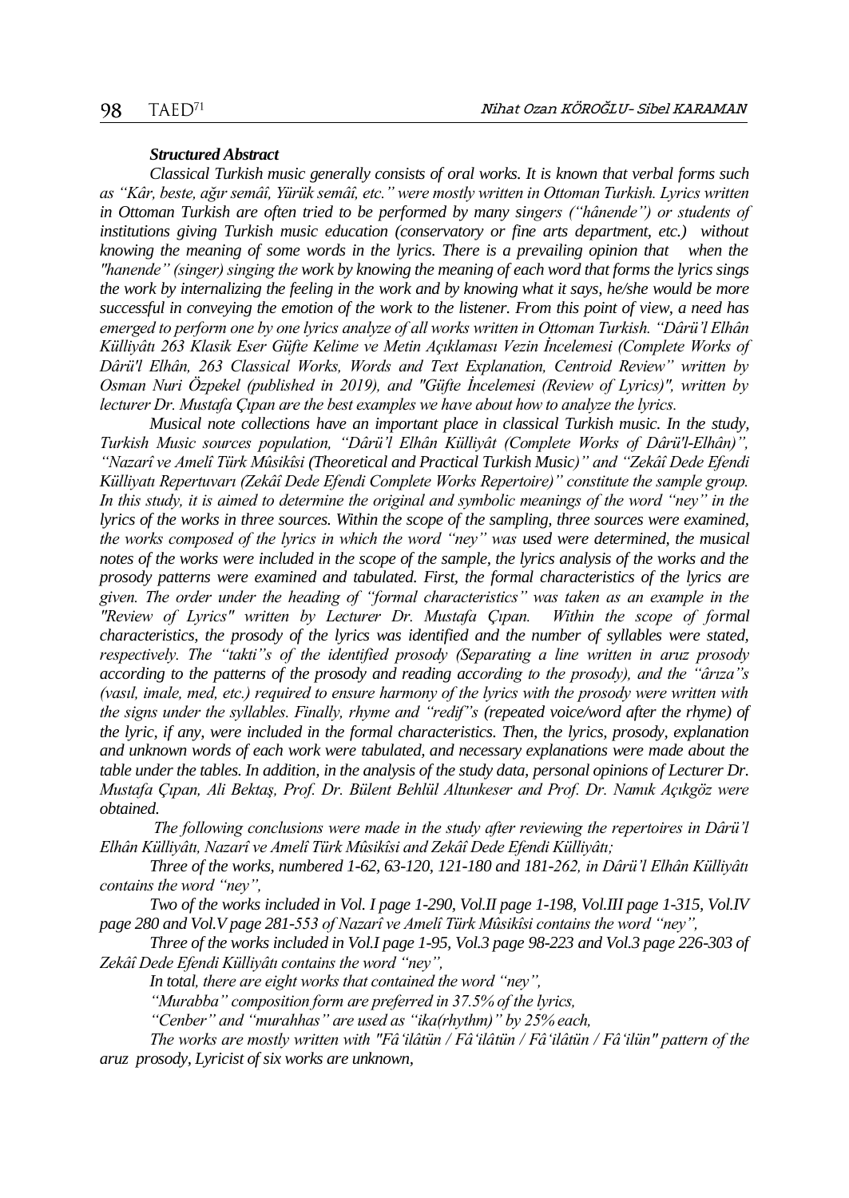#### *Structured Abstract*

*Classical Turkish music generally consists of oral works. It is known that verbal forms such as "Kâr, beste, ağır semâî, Yürük semâî, etc." were mostly written in Ottoman Turkish. Lyrics written in Ottoman Turkish are often tried to be performed by many singers ("hânende") or students of institutions giving Turkish music education (conservatory or fine arts department, etc.) without knowing the meaning of some words in the lyrics. There is a prevailing opinion that when the "hanende" (singer) singing the work by knowing the meaning of each word that forms the lyrics sings the work by internalizing the feeling in the work and by knowing what it says, he/she would be more successful in conveying the emotion of the work to the listener. From this point of view, a need has emerged to perform one by one lyrics analyze of all works written in Ottoman Turkish. "Dârü'l Elhân Külliyâtı 263 Klasik Eser Güfte Kelime ve Metin Açıklaması Vezin İncelemesi (Complete Works of Dârü'l Elhân, 263 Classical Works, Words and Text Explanation, Centroid Review" written by Osman Nuri Özpekel (published in 2019), and "Güfte İncelemesi (Review of Lyrics)", written by lecturer Dr. Mustafa Çıpan are the best examples we have about how to analyze the lyrics.* 

*Musical note collections have an important place in classical Turkish music. In the study, Turkish Music sources population, "Dârü'l Elhân Külliyât (Complete Works of Dârü'l-Elhân)", "Nazarî ve Amelî Türk Mûsikîsi (Theoretical and Practical Turkish Music)" and "Zekâî Dede Efendi Külliyatı Repertuvarı (Zekâî Dede Efendi Complete Works Repertoire)" constitute the sample group. In this study, it is aimed to determine the original and symbolic meanings of the word "ney" in the lyrics of the works in three sources. Within the scope of the sampling, three sources were examined, the works composed of the lyrics in which the word "ney" was used were determined, the musical notes of the works were included in the scope of the sample, the lyrics analysis of the works and the prosody patterns were examined and tabulated. First, the formal characteristics of the lyrics are given. The order under the heading of "formal characteristics" was taken as an example in the "Review of Lyrics" written by Lecturer Dr. Mustafa Çıpan. Within the scope of formal characteristics, the prosody of the lyrics was identified and the number of syllables were stated, respectively. The "takti"s of the identified prosody (Separating a line written in aruz prosody according to the patterns of the prosody and reading according to the prosody), and the "ârıza"s (vasıl, imale, med, etc.) required to ensure harmony of the lyrics with the prosody were written with the signs under the syllables. Finally, rhyme and "redif"s (repeated voice/word after the rhyme) of the lyric, if any, were included in the formal characteristics. Then, the lyrics, prosody, explanation and unknown words of each work were tabulated, and necessary explanations were made about the table under the tables. In addition, in the analysis of the study data, personal opinions of Lecturer Dr. Mustafa Çıpan, Ali Bektaş, Prof. Dr. Bülent Behlül Altunkeser and Prof. Dr. Namık Açıkgöz were obtained.* 

*The following conclusions were made in the study after reviewing the repertoires in Dârü'l Elhân Külliyâtı, Nazarî ve Amelî Türk Mûsikîsi and Zekâî Dede Efendi Külliyâtı;*

*Three of the works, numbered 1-62, 63-120, 121-180 and 181-262, in Dârü'l Elhân Külliyâtı contains the word "ney",*

*Two of the works included in Vol. I page 1-290, Vol.II page 1-198, Vol.III page 1-315, Vol.IV page 280 and Vol.V page 281-553 of Nazarî ve Amelî Türk Mûsikîsi contains the word "ney",*

*Three of the works included in Vol.I page 1-95, Vol.3 page 98-223 and Vol.3 page 226-303 of Zekâî Dede Efendi Külliyâtı contains the word "ney",*

*In total, there are eight works that contained the word "ney",*

*"Murabba" composition form are preferred in 37.5% of the lyrics,*

*"Cenber" and "murahhas" are used as "ika(rhythm)" by 25% each,*

*The works are mostly written with "Fâ'ilâtün / Fâ'ilâtün / Fâ'ilâtün / Fâ'ilün" pattern of the aruz prosody, Lyricist of six works are unknown,*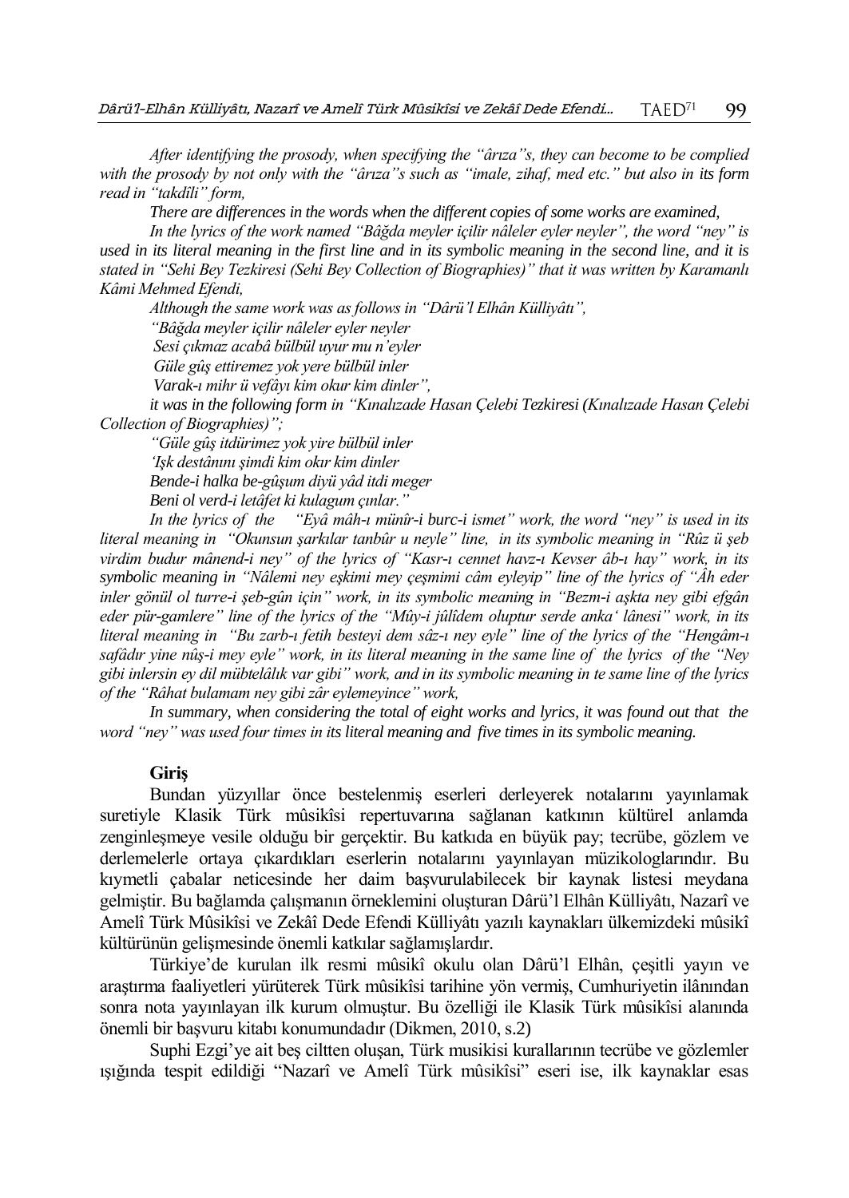*After identifying the prosody, when specifying the "ârıza"s, they can become to be complied with the prosody by not only with the "ârıza"s such as "imale, zihaf, med etc." but also in its form read in "takdîli" form,* 

*There are differences in the words when the different copies of some works are examined,*

*In the lyrics of the work named "Bâğda meyler içilir nâleler eyler neyler", the word "ney" is used in its literal meaning in the first line and in its symbolic meaning in the second line, and it is stated in "Sehi Bey Tezkiresi (Sehi Bey Collection of Biographies)" that it was written by Karamanlı Kâmi Mehmed Efendi,*

*Although the same work was as follows in "Dârü'l Elhân Külliyâtı",* 

*"Bâğda meyler içilir nâleler eyler neyler*

*Sesi çıkmaz acabâ bülbül uyur mu n'eyler*

*Güle gûş ettiremez yok yere bülbül inler*

*Varak-ı mihr ü vefâyı kim okur kim dinler",*

*it was in the following form in "Kınalızade Hasan Çelebi Tezkiresi (Kınalızade Hasan Çelebi Collection of Biographies)";*

*"Güle gûş itdürimez yok yire bülbül inler 'Işk destânını şimdi kim okır kim dinler Bende-i halka be-gûşum diyü yâd itdi meger Beni ol verd-i letâfet ki kulagum çınlar."*

*In the lyrics of the "Eyâ mâh-ı münîr-i burc-i ismet" work, the word "ney" is used in its literal meaning in "Okunsun şarkılar tanbûr u neyle" line, in its symbolic meaning in "Rûz ü şeb virdim budur mânend-i ney" of the lyrics of "Kasr-ı cennet havz-ı Kevser âb-ı hay" work, in its symbolic meaning in "Nâlemi ney eşkimi mey çeşmimi câm eyleyip" line of the lyrics of "Âh eder inler gönül ol turre-i şeb-gûn için" work, in its symbolic meaning in "Bezm-i aşkta ney gibi efgân eder pür-gamlere" line of the lyrics of the "Mûy-i jûlîdem oluptur serde anka' lânesi" work, in its literal meaning in "Bu zarb-ı fetih besteyi dem sâz-ı ney eyle" line of the lyrics of the "Hengâm-ı safâdır yine nûş-i mey eyle" work, in its literal meaning in the same line of the lyrics of the "Ney gibi inlersin ey dil mübtelâlık var gibi" work, and in its symbolic meaning in te same line of the lyrics of the "Râhat bulamam ney gibi zâr eylemeyince" work,*

In summary, when considering the total of eight works and lyrics, it was found out that the *word "ney" was used four times in its literal meaning and five times in its symbolic meaning.*

#### **Giriş**

Bundan yüzyıllar önce bestelenmiş eserleri derleyerek notalarını yayınlamak suretiyle Klasik Türk mûsikîsi repertuvarına sağlanan katkının kültürel anlamda zenginleşmeye vesile olduğu bir gerçektir. Bu katkıda en büyük pay; tecrübe, gözlem ve derlemelerle ortaya çıkardıkları eserlerin notalarını yayınlayan müzikologlarındır. Bu kıymetli çabalar neticesinde her daim başvurulabilecek bir kaynak listesi meydana gelmiştir. Bu bağlamda çalışmanın örneklemini oluşturan Dârü'l Elhân Külliyâtı, Nazarî ve Amelî Türk Mûsikîsi ve Zekâî Dede Efendi Külliyâtı yazılı kaynakları ülkemizdeki mûsikî kültürünün gelişmesinde önemli katkılar sağlamışlardır.

Türkiye'de kurulan ilk resmi mûsikî okulu olan Dârü'l Elhân, çeşitli yayın ve araştırma faaliyetleri yürüterek Türk mûsikîsi tarihine yön vermiş, Cumhuriyetin ilânından sonra nota yayınlayan ilk kurum olmuştur. Bu özelliği ile Klasik Türk mûsikîsi alanında önemli bir başvuru kitabı konumundadır (Dikmen, 2010, s.2)

Suphi Ezgi'ye ait beş ciltten oluşan, Türk musikisi kurallarının tecrübe ve gözlemler ışığında tespit edildiği "Nazarî ve Amelî Türk mûsikîsi" eseri ise, ilk kaynaklar esas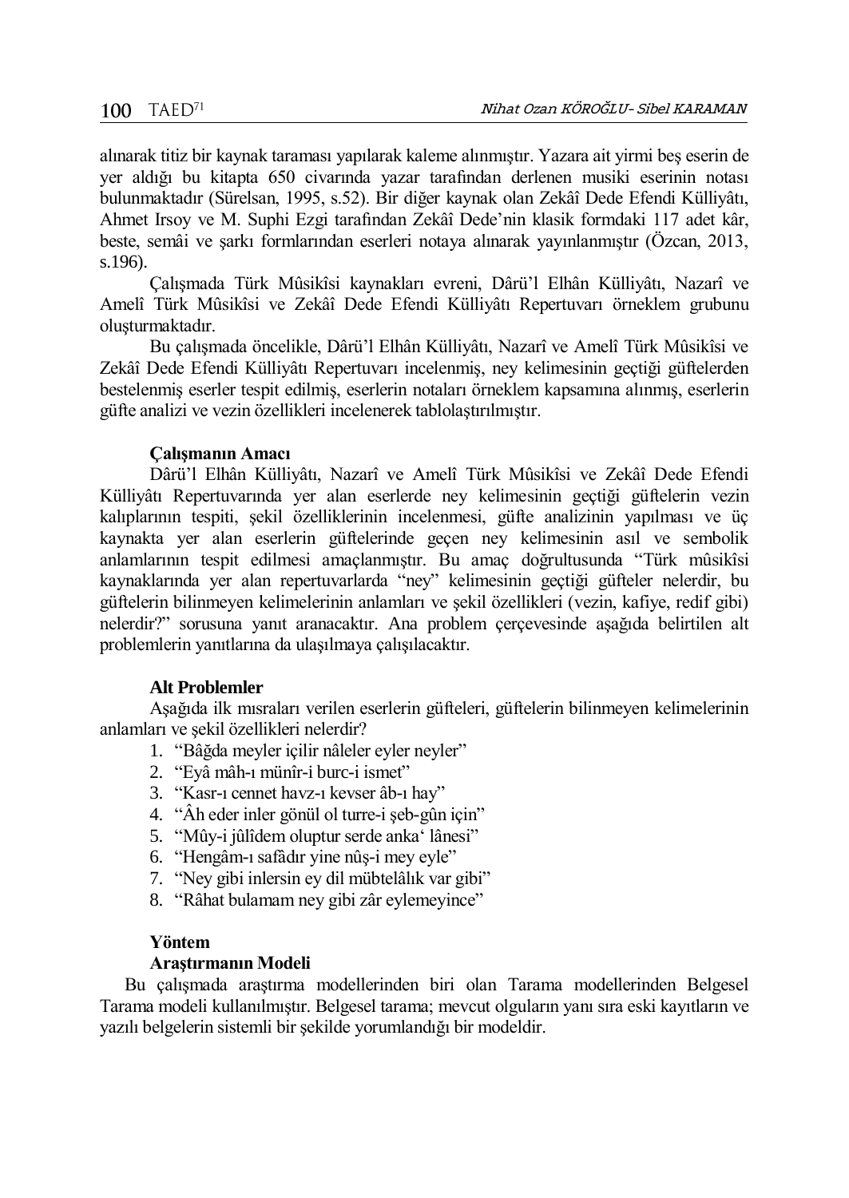alınarak titiz bir kaynak taraması yapılarak kaleme alınmıştır. Yazara ait yirmi beş eserin de yer aldığı bu kitapta 650 civarında yazar tarafından derlenen musiki eserinin notası bulunmaktadır (Sürelsan, 1995, s.52). Bir diğer kaynak olan Zekâî Dede Efendi Külliyâtı, Ahmet Irsoy ve M. Suphi Ezgi tarafından Zekâî Dede'nin klasik formdaki 117 adet kâr, beste, semâi ve şarkı formlarından eserleri notaya alınarak yayınlanmıştır (Özcan, 2013, s.196).

Çalışmada Türk Mûsikîsi kaynakları evreni, Dârü'l Elhân Külliyâtı, Nazarî ve Amelî Türk Mûsikîsi ve Zekâî Dede Efendi Külliyâtı Repertuvarı örneklem grubunu oluşturmaktadır.

Bu çalışmada öncelikle, Dârü'l Elhân Külliyâtı, Nazarî ve Amelî Türk Mûsikîsi ve Zekâî Dede Efendi Külliyâtı Repertuvarı incelenmiş, ney kelimesinin geçtiği güftelerden bestelenmiş eserler tespit edilmiş, eserlerin notaları örneklem kapsamına alınmış, eserlerin güfte analizi ve vezin özellikleri incelenerek tablolaştırılmıştır.

#### **Çalışmanın Amacı**

Dârü'l Elhân Külliyâtı, Nazarî ve Amelî Türk Mûsikîsi ve Zekâî Dede Efendi Külliyâtı Repertuvarında yer alan eserlerde ney kelimesinin geçtiği güftelerin vezin kalıplarının tespiti, şekil özelliklerinin incelenmesi, güfte analizinin yapılması ve üç kaynakta yer alan eserlerin güftelerinde geçen ney kelimesinin asıl ve sembolik anlamlarının tespit edilmesi amaçlanmıştır. Bu amaç doğrultusunda "Türk mûsikîsi kaynaklarında yer alan repertuvarlarda "ney" kelimesinin geçtiği güfteler nelerdir, bu güftelerin bilinmeyen kelimelerinin anlamları ve şekil özellikleri (vezin, kafiye, redif gibi) nelerdir?" sorusuna yanıt aranacaktır. Ana problem çerçevesinde aşağıda belirtilen alt problemlerin yanıtlarına da ulaşılmaya çalışılacaktır.

#### **Alt Problemler**

Aşağıda ilk mısraları verilen eserlerin güfteleri, güftelerin bilinmeyen kelimelerinin anlamları ve şekil özellikleri nelerdir?

- 1. "Bâğda meyler içilir nâleler eyler neyler"
- 2. "Eyâ mâh-ı münîr-i burc-i ismet"
- 3. "Kasr-ı cennet havz-ı kevser âb-ı hay"
- 4. "Âh eder inler gönül ol turre-i şeb-gûn için"
- 5. "Mûy-i jûlîdem oluptur serde anka' lânesi"
- 6. "Hengâm-ı safâdır yine nûş-i mey eyle"
- 7. "Ney gibi inlersin ey dil mübtelâlık var gibi"
- 8. "Râhat bulamam ney gibi zâr eylemeyince"

#### **Yöntem**

#### **Araştırmanın Modeli**

Bu çalışmada araştırma modellerinden biri olan Tarama modellerinden Belgesel Tarama modeli kullanılmıştır. Belgesel tarama; mevcut olguların yanı sıra eski kayıtların ve yazılı belgelerin sistemli bir şekilde yorumlandığı bir modeldir.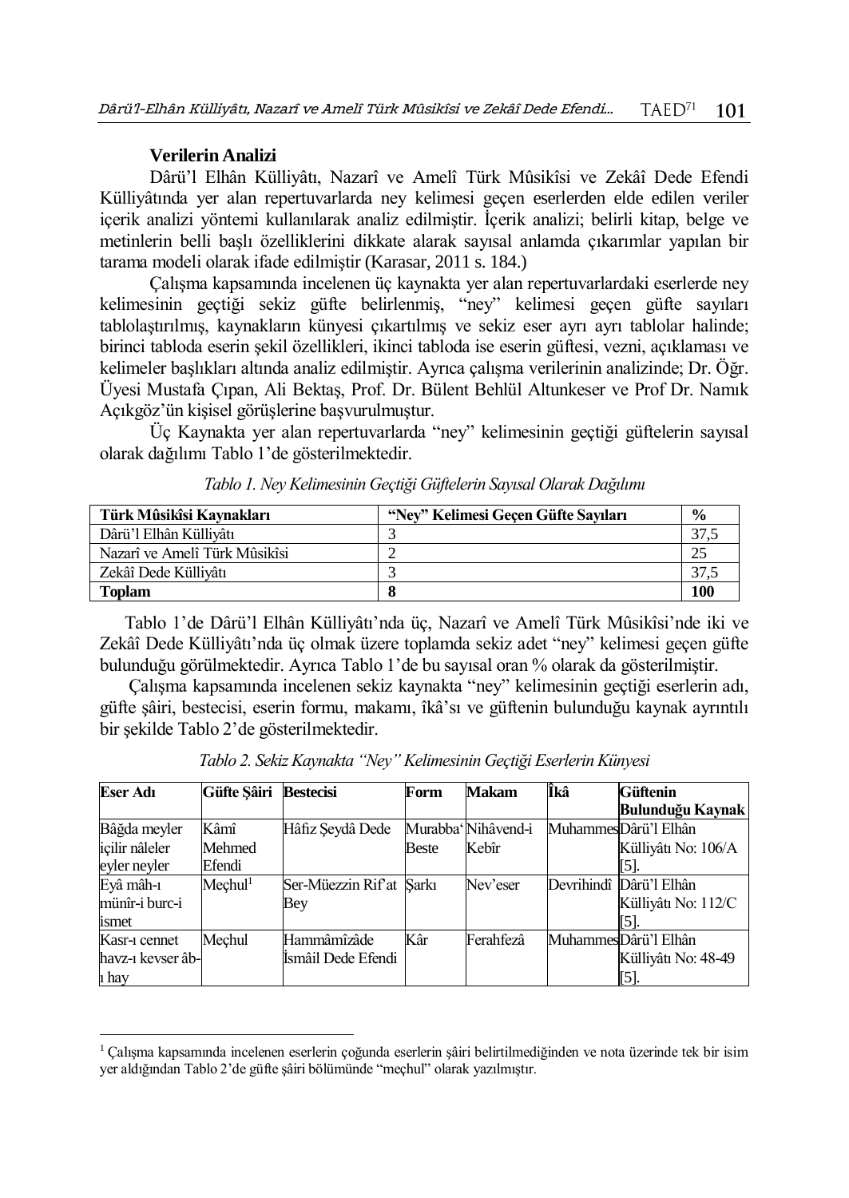#### **Verilerin Analizi**

 $\overline{a}$ 

Dârü'l Elhân Külliyâtı, Nazarî ve Amelî Türk Mûsikîsi ve Zekâî Dede Efendi Külliyâtında yer alan repertuvarlarda ney kelimesi geçen eserlerden elde edilen veriler içerik analizi yöntemi kullanılarak analiz edilmiştir. İçerik analizi; belirli kitap, belge ve metinlerin belli başlı özelliklerini dikkate alarak sayısal anlamda çıkarımlar yapılan bir tarama modeli olarak ifade edilmiştir (Karasar, 2011 s. 184.)

Çalışma kapsamında incelenen üç kaynakta yer alan repertuvarlardaki eserlerde ney kelimesinin geçtiği sekiz güfte belirlenmiş, "ney" kelimesi geçen güfte sayıları tablolaştırılmış, kaynakların künyesi çıkartılmış ve sekiz eser ayrı ayrı tablolar halinde; birinci tabloda eserin şekil özellikleri, ikinci tabloda ise eserin güftesi, vezni, açıklaması ve kelimeler başlıkları altında analiz edilmiştir. Ayrıca çalışma verilerinin analizinde; Dr. Öğr. Üyesi Mustafa Çıpan, Ali Bektaş, Prof. Dr. Bülent Behlül Altunkeser ve Prof Dr. Namık Açıkgöz'ün kişisel görüşlerine başvurulmuştur.

Üç Kaynakta yer alan repertuvarlarda "ney" kelimesinin geçtiği güftelerin sayısal olarak dağılımı Tablo 1'de gösterilmektedir.

| Türk Mûsikîsi Kavnakları      | "Nev" Kelimesi Gecen Güfte Savıları | $\frac{6}{9}$ |
|-------------------------------|-------------------------------------|---------------|
| Dârü'l Elhân Küllivâtı        |                                     |               |
| Nazarî ve Amelî Türk Mûsikîsi |                                     |               |
| Zekâî Dede Küllivâtı          |                                     |               |
| <b>Toplam</b>                 |                                     | 100           |

*Tablo 1. Ney Kelimesinin Geçtiği Güftelerin Sayısal Olarak Dağılımı*

Tablo 1'de Dârü'l Elhân Külliyâtı'nda üç, Nazarî ve Amelî Türk Mûsikîsi'nde iki ve Zekâî Dede Külliyâtı'nda üç olmak üzere toplamda sekiz adet "ney" kelimesi geçen güfte bulunduğu görülmektedir. Ayrıca Tablo 1'de bu sayısal oran % olarak da gösterilmiştir.

Çalışma kapsamında incelenen sekiz kaynakta "ney" kelimesinin geçtiği eserlerin adı, güfte şâiri, bestecisi, eserin formu, makamı, îkâ'sı ve güftenin bulunduğu kaynak ayrıntılı bir şekilde Tablo 2'de gösterilmektedir.

| <b>Eser Adı</b>    | Güfte Sâiri         | <b>Bestecisi</b>         | Form  | <b>Makam</b>        | Îkâ | Güftenin                |
|--------------------|---------------------|--------------------------|-------|---------------------|-----|-------------------------|
|                    |                     |                          |       |                     |     | Bulunduğu Kaynak        |
| Bâğda meyler       | Kâmî                | Hâfiz Şeydâ Dede         |       | Murabba' Nihâvend-i |     | MuhammesDârü'l Elhân    |
| icilir nâleler     | Mehmed              |                          | Beste | Kebîr               |     | Külliyâtı No: 106/A     |
| eyler neyler       | Efendi              |                          |       |                     |     | [5].                    |
| Eyâ mâh-1          | Mechul <sup>1</sup> | Ser-Müezzin Rif'at Sarkı |       | Nev'eser            |     | Devrihindî Dârü'l Elhân |
| münîr-i burc-i     |                     | Bey                      |       |                     |     | Külliyâtı No: 112/C     |
| ismet              |                     |                          |       |                     |     | [5]                     |
| Kasr-1 cennet      | Mechul              | Hammâmîzâde              | Kâr   | Ferahfezâ           |     | MuhammesDârü'l Elhân    |
| havz-1 kevser âb-l |                     | Ismâil Dede Efendi       |       |                     |     | Külliyâtı No: 48-49     |
| 1 hay              |                     |                          |       |                     |     | [5].                    |

*Tablo 2. Sekiz Kaynakta "Ney" Kelimesinin Geçtiği Eserlerin Künyesi*

<sup>1</sup> Çalışma kapsamında incelenen eserlerin çoğunda eserlerin şâiri belirtilmediğinden ve nota üzerinde tek bir isim yer aldığından Tablo 2'de güfte şâiri bölümünde "meçhul" olarak yazılmıştır.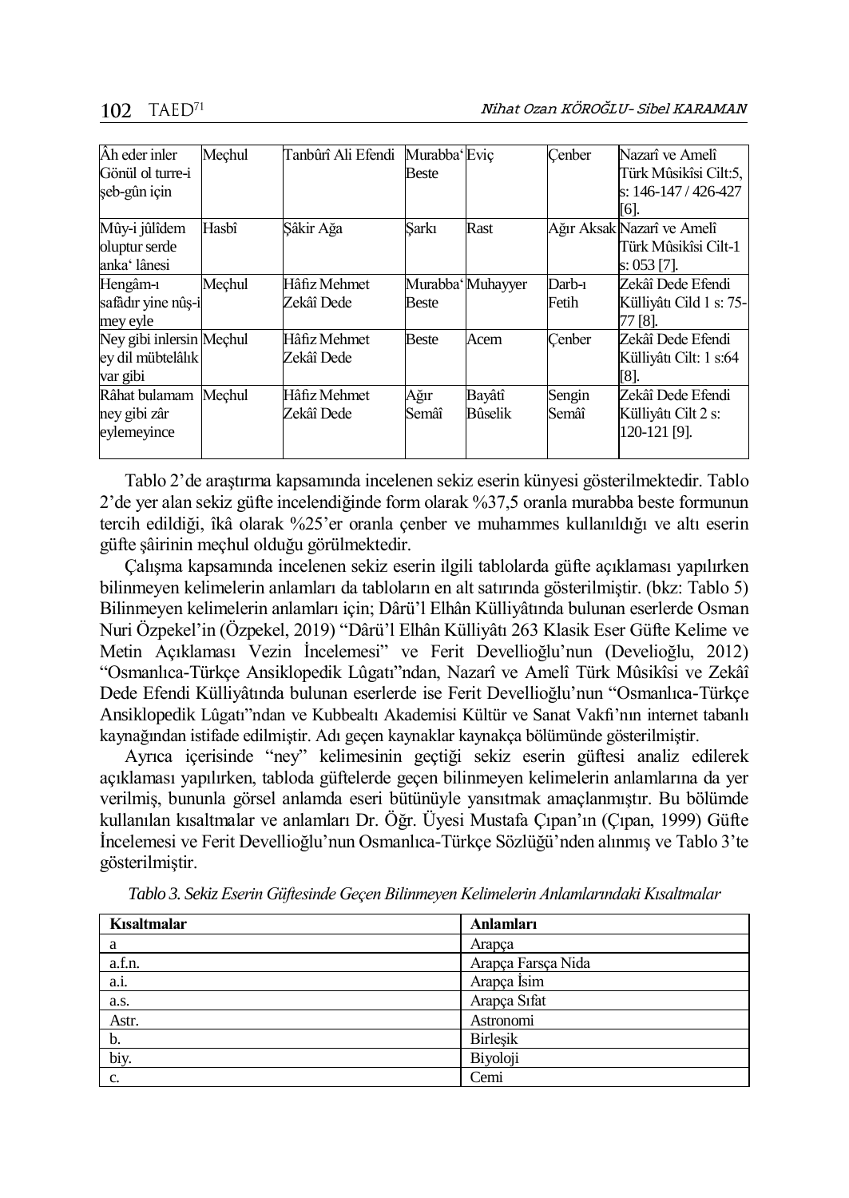| Âh eder inler<br>Gönül ol turre-i<br>şeb-gûn için         | Mechul | Tanbûrî Ali Efendi         | Murabba' Evic<br>Beste |                          | Cenber          | Nazarî ve Amelî<br>Türk Mûsikîsi Cilt:5,<br>s: 146-147 / 426-427<br>[6]. |
|-----------------------------------------------------------|--------|----------------------------|------------------------|--------------------------|-----------------|--------------------------------------------------------------------------|
| Mûy-i jûlîdem<br>oluptur serde<br>anka' lânesi            | Hasbî  | Şâkir Ağa                  | Sarkı                  | Rast                     |                 | Ağır Aksak Nazarî ve Amelî<br>Türk Mûsikîsi Cilt-1<br>s: 053 [7].        |
| Hengâm-1<br>safâdır vine nûs-i<br>mey eyle                | Mechul | Hâfiz Mehmet<br>Zekâî Dede | <b>Beste</b>           | Murabba' Muhayyer        | Darb-1<br>Fetih | Zekâî Dede Efendi<br>Külliyâtı Cild 1 s: 75-<br>77 [8].                  |
| Ney gibi inlersin Mechul<br>ey dil mübtelâlık<br>var gibi |        | Hâfiz Mehmet<br>Zekâî Dede | <b>Beste</b>           | Acem                     | Cenber          | Zekâî Dede Efendi<br>Külliyâtı Cilt: 1 s:64<br>[8].                      |
| Râhat bulamam Mechul<br>ney gibi zâr<br>eylemeyince       |        | Hâfiz Mehmet<br>Zekâî Dede | Ağır<br>Semâî          | Bayâtî<br><b>Bûselik</b> | Sengin<br>Semâî | Zekâî Dede Efendi<br>Külliyâtı Cilt 2 s:<br>120-121 [9].                 |

Tablo 2'de araştırma kapsamında incelenen sekiz eserin künyesi gösterilmektedir. Tablo 2'de yer alan sekiz güfte incelendiğinde form olarak %37,5 oranla murabba beste formunun tercih edildiği, îkâ olarak %25'er oranla çenber ve muhammes kullanıldığı ve altı eserin güfte şâirinin meçhul olduğu görülmektedir.

Çalışma kapsamında incelenen sekiz eserin ilgili tablolarda güfte açıklaması yapılırken bilinmeyen kelimelerin anlamları da tabloların en alt satırında gösterilmiştir. (bkz: Tablo 5) Bilinmeyen kelimelerin anlamları için; Dârü'l Elhân Külliyâtında bulunan eserlerde Osman Nuri Özpekel'in (Özpekel, 2019) "Dârü'l Elhân Külliyâtı 263 Klasik Eser Güfte Kelime ve Metin Açıklaması Vezin İncelemesi" ve Ferit Devellioğlu'nun (Develioğlu, 2012) "Osmanlıca-Türkçe Ansiklopedik Lûgatı"ndan, Nazarî ve Amelî Türk Mûsikîsi ve Zekâî Dede Efendi Külliyâtında bulunan eserlerde ise Ferit Devellioğlu'nun "Osmanlıca-Türkçe Ansiklopedik Lûgatı"ndan ve Kubbealtı Akademisi Kültür ve Sanat Vakfı'nın internet tabanlı kaynağından istifade edilmiştir. Adı geçen kaynaklar kaynakça bölümünde gösterilmiştir.

Ayrıca içerisinde "ney" kelimesinin geçtiği sekiz eserin güftesi analiz edilerek açıklaması yapılırken, tabloda güftelerde geçen bilinmeyen kelimelerin anlamlarına da yer verilmiş, bununla görsel anlamda eseri bütünüyle yansıtmak amaçlanmıştır. Bu bölümde kullanılan kısaltmalar ve anlamları Dr. Öğr. Üyesi Mustafa Çıpan'ın (Çıpan, 1999) Güfte İncelemesi ve Ferit Devellioğlu'nun Osmanlıca-Türkçe Sözlüğü'nden alınmış ve Tablo 3'te gösterilmiştir.

| Kısaltmalar | Anlamları          |
|-------------|--------------------|
| a           | Arapca             |
| a.f.n.      | Arapça Farsça Nida |
| a.i.        | Arapça İsim        |
| a.s.        | Arapça Sıfat       |
| Astr.       | Astronomi          |
| b.          | <b>Birlesik</b>    |
| biy.        | Biyoloji           |
| c.          | Cemi               |

*Tablo 3. Sekiz Eserin Güftesinde Geçen Bilinmeyen Kelimelerin Anlamlarındaki Kısaltmalar*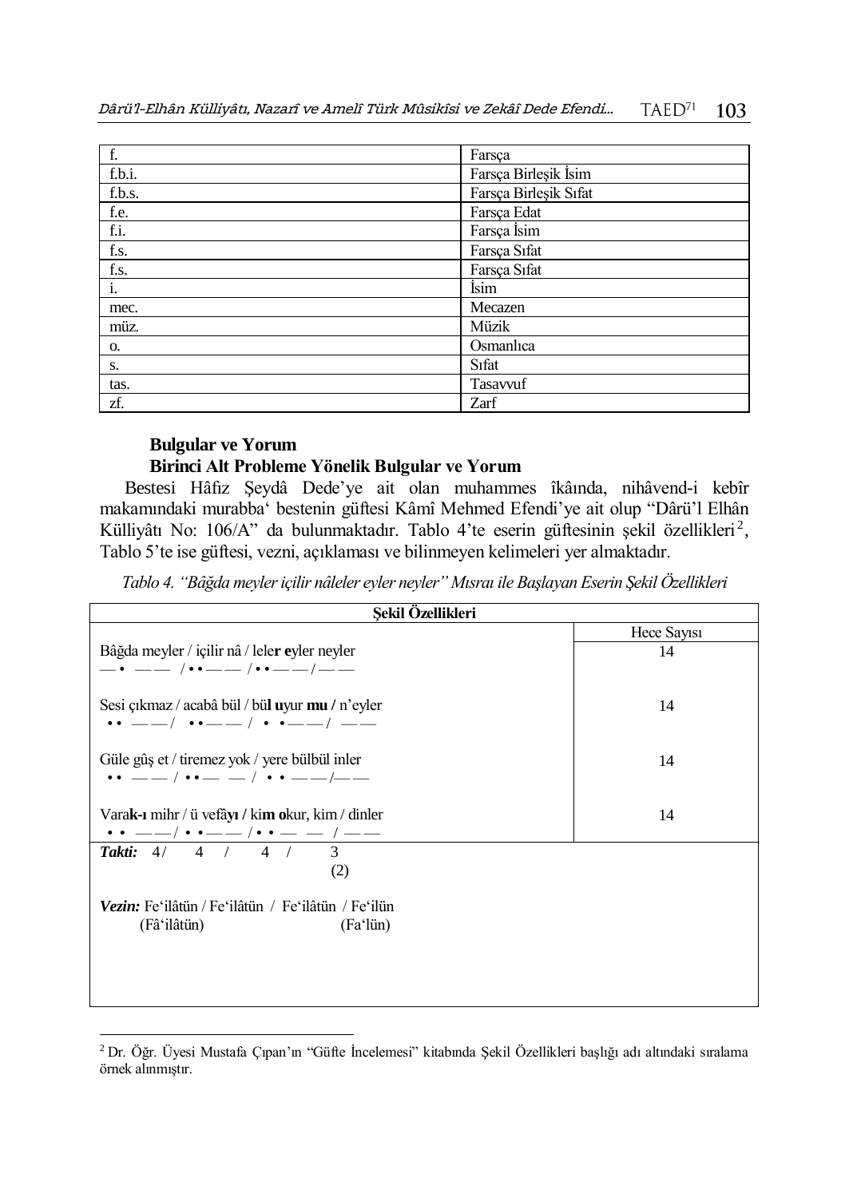| f.        | Farsça                |
|-----------|-----------------------|
| f.b.i.    | Farsça Birleşik İsim  |
| f.b.s.    | Farsça Birleşik Sıfat |
| f.e.      | Farsça Edat           |
| $f_{.1.}$ | Farsça İsim           |
| f.s.      | Farsça Sıfat          |
| f.s.      | Farsça Sıfat          |
| i.        | İsim                  |
| mec.      | Mecazen               |
| müz.      | Müzik                 |
| О.        | Osmanlıca             |
| S.        | S <sub>1</sub> fat    |
| tas.      | Tasavvuf              |
| zf.       | Zarf                  |

## **Bulgular ve Yorum**

 $\overline{a}$ 

### **Birinci Alt Probleme Yönelik Bulgular ve Yorum**

Bestesi Hâfız Şeydâ Dede'ye ait olan muhammes îkâında, nihâvend-i kebîr makamındaki murabba' bestenin güftesi Kâmî Mehmed Efendi'ye ait olup "Dârü'l Elhân Külliyâtı No: 106/A" da bulunmaktadır. Tablo 4'te eserin güftesinin şekil özellikleri<sup>2</sup>, Tablo 5'te ise güftesi, vezni, açıklaması ve bilinmeyen kelimeleri yer almaktadır.

*Tablo 4. "Bâğda meyler içilir nâleler eyler neyler" Mısraı ile Başlayan Eserin Şekil Özellikleri* 

| Sekil Özellikleri                                                                                                            |             |  |  |
|------------------------------------------------------------------------------------------------------------------------------|-------------|--|--|
|                                                                                                                              | Hece Sayisi |  |  |
| Bâğda meyler / içilir nâ / leler eyler neyler<br>$-\cdot$ - $-\cdot$ / $\cdot$ - $-\cdot$ / $\cdot$ - $-\cdot$ / $-\cdot$ -  | 14          |  |  |
| Sesi çıkmaz / acabâ bül / bül <b>u</b> yur <b>mu /</b> n'eyler<br>$\cdots$ --/ $\cdots$ -/ $\cdots$ -/ --                    | 14          |  |  |
| Güle gûş et / tiremez yok / yere bülbül inler<br>$\cdots$ __ / $\cdots$ _ / $\cdots$ _ / $\cdots$ _ /                        | 14          |  |  |
| Varak-ı mihr / ü vefâyı / kim okur, kim / dinler<br>$\bm{\cdot\cdot}=-/ \bm{\cdot} \bm{\cdot}=-/ \bm{\cdot} \bm{\cdot}=-/--$ | 14          |  |  |
| <b>Takti:</b> $4/4/4/4/3$<br>(2)                                                                                             |             |  |  |
| Vezin: Fe'ilâtün / Fe'ilâtün / Fe'ilâtün / Fe'ilün<br>(Fâ'ilâtün)<br>(Fa'lün)                                                |             |  |  |
|                                                                                                                              |             |  |  |

<sup>2</sup> Dr. Öğr. Üyesi Mustafa Çıpan'ın "Güfte İncelemesi" kitabında Şekil Özellikleri başlığı adı altındaki sıralama örnek alınmıştır.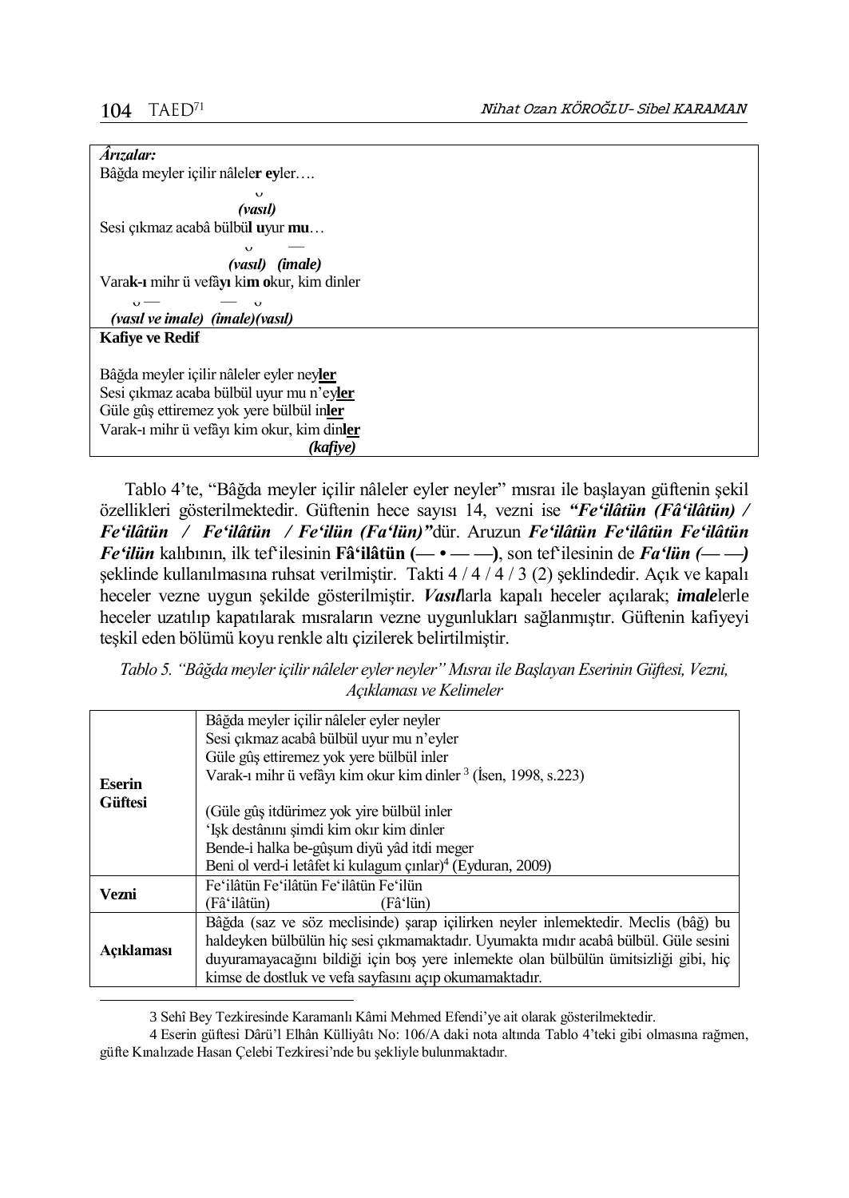$\overline{a}$ 

| Arızalar:                                  |  |
|--------------------------------------------|--|
| Bâğda meyler içilir nâleler eyler          |  |
| $\mathbf v$                                |  |
| (vasıl)                                    |  |
| Sesi çıkmaz acabâ bülbül uyur mu           |  |
| $\mathbf v$                                |  |
| (vasil) (imale)                            |  |
| Varak-ı mihr ü vefâyı kim okur, kim dinler |  |
| $\sqrt{}$<br>$\mathbf \sigma$              |  |
| (vasıl ve imale) (imale)(vasıl)            |  |
| <b>Kafive ve Redif</b>                     |  |
|                                            |  |
| Bâğda meyler içilir nâleler eyler neyler   |  |
| Sesi çıkmaz acaba bülbül uyur mu n'eyler   |  |
| Güle gûş ettiremez yok yere bülbül inler   |  |
|                                            |  |
| Varak-ı mihr ü vefâyı kim okur, kim dinler |  |
| (kafive)                                   |  |

Tablo 4'te, "Bâğda meyler içilir nâleler eyler neyler" mısraı ile başlayan güftenin şekil özellikleri gösterilmektedir. Güftenin hece sayısı 14, vezni ise *"Fe'ilâtün (Fâ'ilâtün) / Fe'ilâtün / Fe'ilâtün / Fe'ilün (Fa'lün)"*dür. Aruzun *Fe'ilâtün Fe'ilâtün Fe'ilâtün Fe'ilün* kalıbının, ilk tef'ilesinin **Fâ'ilâtün (— • — —)**, son tef'ilesinin de *Fa'lün (— —)* şeklinde kullanılmasına ruhsat verilmiştir. Takti 4 / 4 / 4 / 3 (2) şeklindedir. Açık ve kapalı heceler vezne uygun şekilde gösterilmiştir. *Vasıl*larla kapalı heceler açılarak; *imale*lerle heceler uzatılıp kapatılarak mısraların vezne uygunlukları sağlanmıştır. Güftenin kafiyeyi teşkil eden bölümü koyu renkle altı çizilerek belirtilmiştir.

| Tablo 5. "Bâğda meyler içilir nâleler eyler neyler" Mısraı ile Başlayan Eserinin Güftesi, Vezni, |
|--------------------------------------------------------------------------------------------------|
| Acıklaması ve Kelimeler                                                                          |

|                | Bâğda meyler içilir nâleler eyler neyler<br>Sesi çıkmaz acabâ bülbül uyur mu n'eyler |  |  |
|----------------|--------------------------------------------------------------------------------------|--|--|
|                | Güle gûş ettiremez yok yere bülbül inler                                             |  |  |
|                | Varak-ı mihr ü vefâyı kim okur kim dinler <sup>3</sup> (İsen, 1998, s.223)           |  |  |
| <b>Eserin</b>  |                                                                                      |  |  |
| <b>Güftesi</b> | (Güle gûş itdürimez yok yire bülbül inler                                            |  |  |
|                | 'Işk destânını şimdi kim okır kim dinler                                             |  |  |
|                | Bende-i halka be-gûşum diyü yâd itdi meger                                           |  |  |
|                | Beni ol verd-i letâfet ki kulagum çınlar) <sup>4</sup> (Eyduran, 2009)               |  |  |
| Vezni          | Fe'ilâtün Fe'ilâtün Fe'ilâtün Fe'ilün                                                |  |  |
|                | (Fâ'ilâtün)<br>(Fâ'lün)                                                              |  |  |
|                | Bâğda (saz ve söz meclisinde) şarap içilirken neyler inlemektedir. Meclis (bâğ) bu   |  |  |
| Acıklaması     | haldeyken bülbülün hiç sesi çıkmamaktadır. Uyumakta mıdır acabâ bülbül. Güle sesini  |  |  |
|                | duyuramayacağını bildiği için boş yere inlemekte olan bülbülün ümitsizliği gibi, hiç |  |  |
|                | kimse de dostluk ve vefa sayfasını açıp okumamaktadır.                               |  |  |

3 Sehî Bey Tezkiresinde Karamanlı Kâmi Mehmed Efendi'ye ait olarak gösterilmektedir.

4 Eserin güftesi Dârü'l Elhân Külliyâtı No: 106/A daki nota altında Tablo 4'teki gibi olmasına rağmen, güfte Kınalızade Hasan Çelebi Tezkiresi'nde bu şekliyle bulunmaktadır.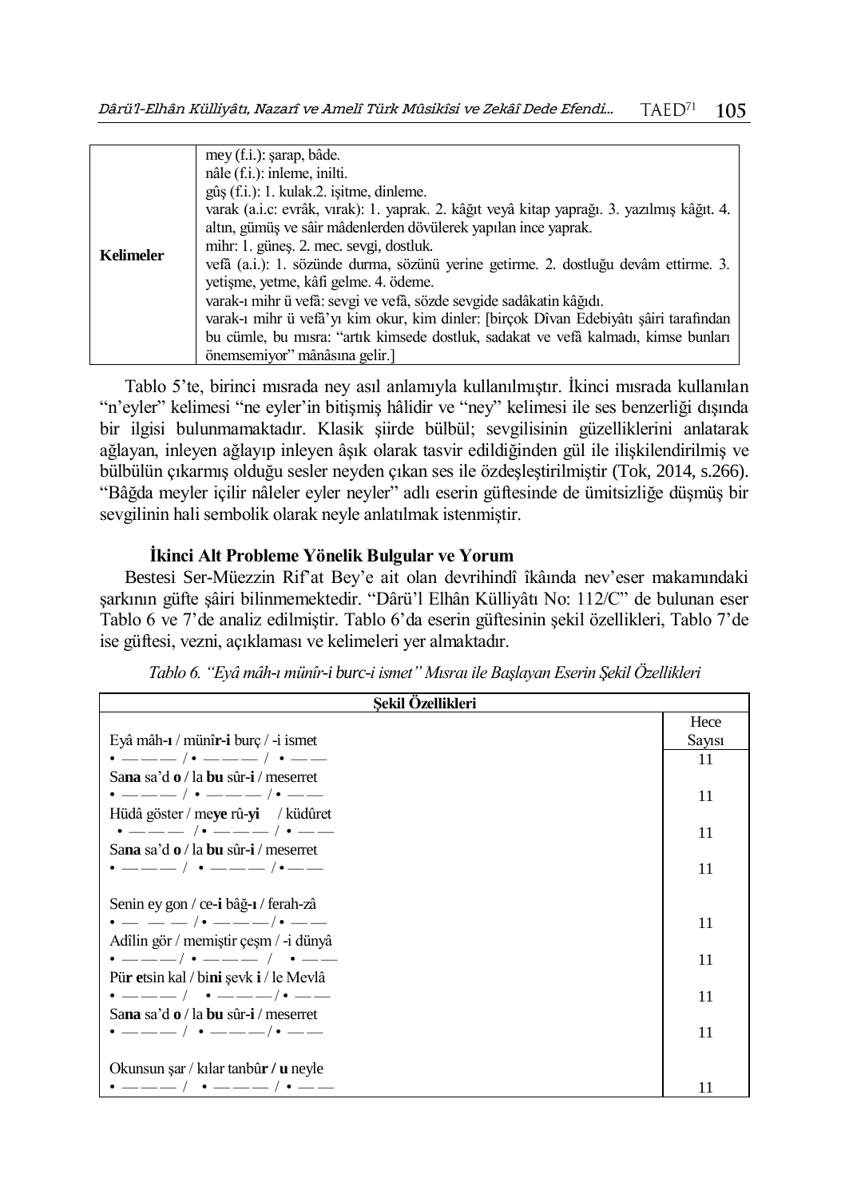|                  | mey (f.i.): şarap, bâde.                                                                   |
|------------------|--------------------------------------------------------------------------------------------|
|                  | nâle (f.i.): inleme, inilti.                                                               |
|                  | gûş (f.i.): 1. kulak.2. işitme, dinleme.                                                   |
|                  | varak (a.i.c: evrâk, vırak): 1. yaprak. 2. kâğıt veyâ kitap yaprağı. 3. yazılmış kâğıt. 4. |
|                  | altın, gümüş ve sâir mâdenlerden dövülerek yapılan ince yaprak.                            |
| <b>Kelimeler</b> | mihr: 1. günes. 2. mec. sevgi, dostluk.                                                    |
|                  | vefà (a.i.): 1. sözünde durma, sözünü yerine getirme. 2. dostluğu devâm ettirme. 3.        |
|                  | yetişme, yetme, kâfi gelme. 4. ödeme.                                                      |
|                  | varak-ı mihr ü vefâ: sevgi ve vefâ, sözde sevgide sadâkatin kâğıdı.                        |
|                  | varak-ı mihr ü vefâ'yı kim okur, kim dinler: [birçok Dîvan Edebiyâtı şâiri tarafından      |
|                  | bu cümle, bu mısra: "artık kimsede dostluk, sadakat ve vefâ kalmadı, kimse bunları         |
|                  | önemsemiyor" mânâsına gelir.                                                               |

Tablo 5'te, birinci mısrada ney asıl anlamıyla kullanılmıştır. İkinci mısrada kullanılan "n'eyler" kelimesi "ne eyler'in bitişmiş hâlidir ve "ney" kelimesi ile ses benzerliği dışında bir ilgisi bulunmamaktadır. Klasik şiirde bülbül; sevgilisinin güzelliklerini anlatarak ağlayan, inleyen ağlayıp inleyen âşık olarak tasvir edildiğinden gül ile ilişkilendirilmiş ve bülbülün çıkarmış olduğu sesler neyden çıkan ses ile özdeşleştirilmiştir (Tok, 2014, s.266). "Bâğda meyler içilir nâleler eyler neyler" adlı eserin güftesinde de ümitsizliğe düşmüş bir sevgilinin hali sembolik olarak neyle anlatılmak istenmiştir.

### **İkinci Alt Probleme Yönelik Bulgular ve Yorum**

Bestesi Ser-Müezzin Rif'at Bey'e ait olan devrihindî îkâında nev'eser makamındaki şarkının güfte şâiri bilinmemektedir. "Dârü'l Elhân Külliyâtı No: 112/C" de bulunan eser Tablo 6 ve 7'de analiz edilmiştir. Tablo 6'da eserin güftesinin şekil özellikleri, Tablo 7'de ise güftesi, vezni, açıklaması ve kelimeleri yer almaktadır.

| Sekil Özellikleri                           |        |
|---------------------------------------------|--------|
|                                             | Hece   |
| Eyâ mâh-ı / münîr-i burç / -i ismet         | Sayısı |
| $\cdot$ ——— / $\cdot$ ——— / $\cdot$ ——      | 11     |
| Sana sa'd o / la bu sûr-i / meserret        |        |
| $\cdot$ ——— / $\cdot$ ——— / $\cdot$ ——      | 11     |
| Hüdâ göster / meye rû-yi / küdûret          |        |
| $\cdot$ --- / $\cdot$ --- / $\cdot$ --      | 11     |
| Sana sa'd o / la bu sûr-i / meserret        |        |
| $\cdot$ ——— / $\cdot$ ——— / $\cdot$ ——      | 11     |
|                                             |        |
| Senin ey gon / ce-i bâğ-ı / ferah-zâ        |        |
| $\bullet$ — — — /• ———/• ——                 | 11     |
| Adîlin gör / memiştir çeşm / -i dünyâ       |        |
| $\cdot$ ———/ $\cdot$ ——— / $\cdot$ ——       | 11     |
| Pür etsin kal / bini şevk i / le Mevlâ      |        |
| $\cdot$ ———— / $\cdot$ ——— / $\cdot$ ——     | 11     |
| Sana sa'd o / la bu sûr-i / meserret        |        |
| $\cdot$ ———— / $\cdot$ ——— / $\cdot$ ——     | 11     |
|                                             |        |
| Okunsun şar / kılar tanbûr / <b>u</b> neyle |        |
| $\cdot$ ——— / $\cdot$ ——— / $\cdot$ ——      | 11     |

*Tablo 6. "Eyâ mâh-ı münîr-i burc-i ismet" Mısraı ile Başlayan Eserin Şekil Özellikleri*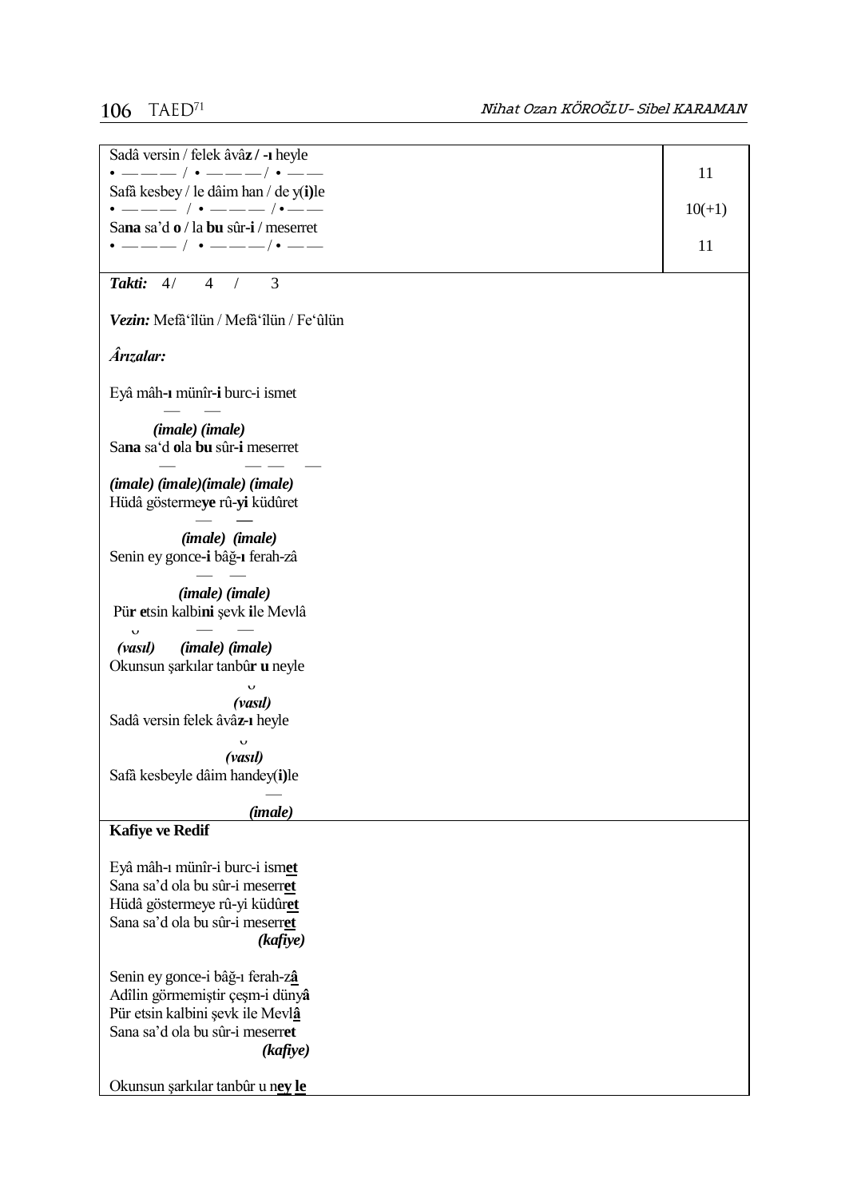# 106  $T A E D^{71}$

| Sadâ versin / felek âvâz / -ı heyle<br>• ——— / • ——— / • ——                         | 11       |
|-------------------------------------------------------------------------------------|----------|
| Safâ kesbey / le dâim han / de y(i)le                                               |          |
| • ——— / • ——— /•——<br>Sana sa'd o / la bu sûr-i / meserret                          | $10(+1)$ |
| $\cdot$ ——— / $\cdot$ ———/ $\cdot$ ——                                               | 11       |
|                                                                                     |          |
| Takti: 4/<br>4<br>3<br>$\sqrt{2}$                                                   |          |
| Vezin: Mefâ'îlün / Mefâ'îlün / Fe'ûlün                                              |          |
| Ârızalar:                                                                           |          |
| Eyâ mâh-ı münîr-i burc-i ismet                                                      |          |
| (imale) (imale)<br>Sana sa'd ola bu sûr-i meserret                                  |          |
| (imale) (imale)(imale) (imale)<br>Hüdâ göstermeye rû-yi küdûret                     |          |
| ( <i>imale</i> ) ( <i>imale</i> )<br>Senin ey gonce-i bâğ-ı ferah-zâ                |          |
| (imale) (imale)<br>Pür etsin kalbini şevk ile Mevlâ                                 |          |
| $\mathbf{\dot{v}}$<br>(imale) (imale)<br>(vasıl)<br>Okunsun şarkılar tanbûr u neyle |          |
| $\ddot{\phantom{0}}$                                                                |          |
| (vasıl)<br>Sadâ versin felek âvâz 1 heyle                                           |          |
| v                                                                                   |          |
| (vasıl)<br>Safà kesbeyle dâim handey(i)le                                           |          |
|                                                                                     |          |
| (imale)                                                                             |          |
| <b>Kafiye ve Redif</b>                                                              |          |
| Eyâ mâh-ı münîr-i burc-i ismet                                                      |          |
| Sana sa'd ola bu sûr-i meserret                                                     |          |
| Hüdâ göstermeye rû-yi küdûret<br>Sana sa'd ola bu sûr-i meserret                    |          |
| (kafiye)                                                                            |          |
|                                                                                     |          |
| Senin ey gonce-i bâğ-ı ferah-zâ                                                     |          |
| Adîlin görmemiştir çeşm-i dünyâ<br>Pür etsin kalbini şevk ile Mevlâ                 |          |
| Sana sa'd ola bu sûr-i meserret                                                     |          |
| (kafiye)                                                                            |          |
| Okunsun şarkılar tanbûr u nev le                                                    |          |
|                                                                                     |          |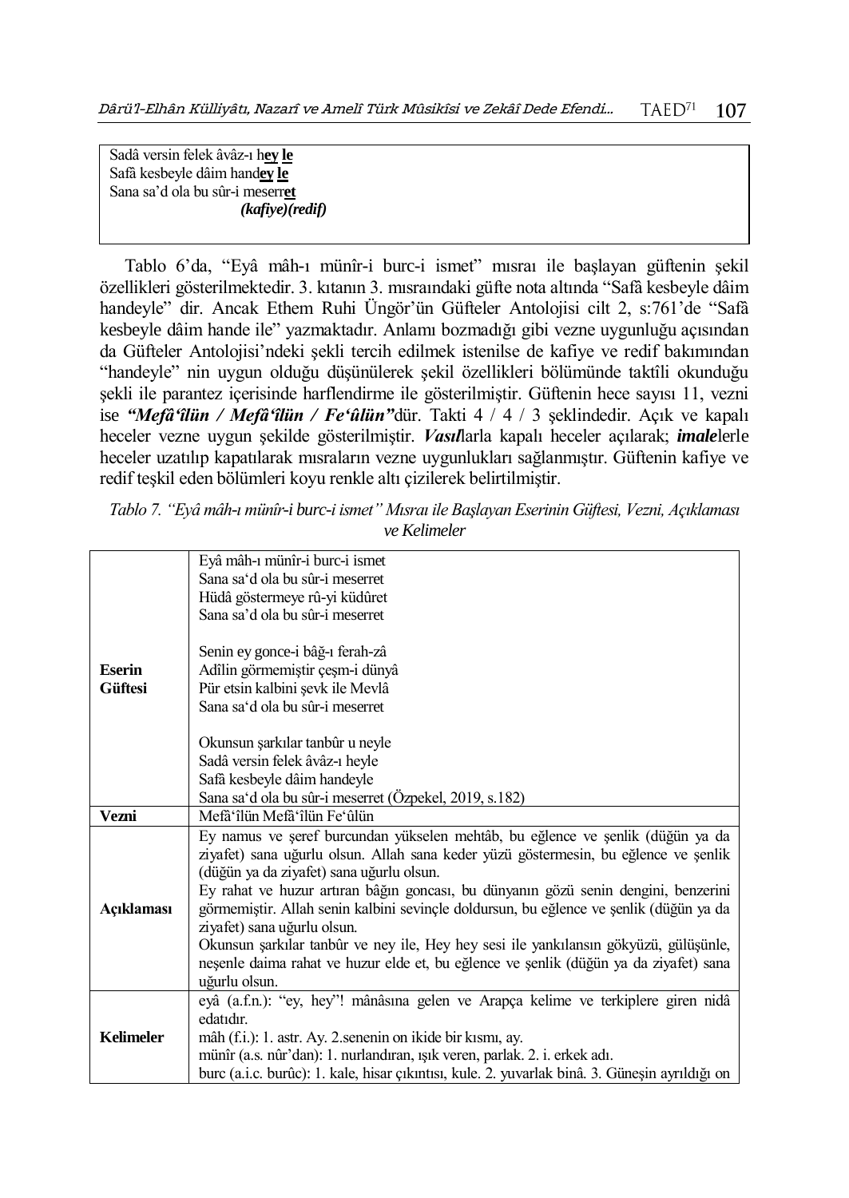Sadâ versin felek âvâz-ı h**ey le** Safâ kesbeyle dâim hand**ey le**  Sana sa'd ola bu sûr-i meserr**et** *(kafiye)(redif)*

Tablo 6'da, "Eyâ mâh-ı münîr-i burc-i ismet" mısraı ile başlayan güftenin şekil özellikleri gösterilmektedir. 3. kıtanın 3. mısraındaki güfte nota altında "Safâ kesbeyle dâim handeyle" dir. Ancak Ethem Ruhi Üngör'ün Güfteler Antolojisi cilt 2, s:761'de "Safâ kesbeyle dâim hande ile" yazmaktadır. Anlamı bozmadığı gibi vezne uygunluğu açısından da Güfteler Antolojisi'ndeki şekli tercih edilmek istenilse de kafiye ve redif bakımından "handeyle" nin uygun olduğu düşünülerek şekil özellikleri bölümünde taktîli okunduğu şekli ile parantez içerisinde harflendirme ile gösterilmiştir. Güftenin hece sayısı 11, vezni ise *"Mefâ'îlün / Mefâ'îlün / Fe'ûlün"*dür. Takti 4 / 4 / 3 şeklindedir. Açık ve kapalı heceler vezne uygun şekilde gösterilmiştir. *Vasıl*larla kapalı heceler açılarak; *imale*lerle heceler uzatılıp kapatılarak mısraların vezne uygunlukları sağlanmıştır. Güftenin kafiye ve redif teşkil eden bölümleri koyu renkle altı çizilerek belirtilmiştir.

*Tablo 7. "Eyâ mâh-ı münîr-i burc-i ismet" Mısraı ile Başlayan Eserinin Güftesi, Vezni, Açıklaması ve Kelimeler*

|                  | Eyâ mâh-ı münîr-i burc-i ismet                                                                                        |
|------------------|-----------------------------------------------------------------------------------------------------------------------|
|                  | Sana sa'd ola bu sûr-i meserret                                                                                       |
|                  | Hüdâ göstermeye rû-yi küdûret                                                                                         |
|                  | Sana sa'd ola bu sûr-i meserret                                                                                       |
|                  | Senin ey gonce-i bâğ-ı ferah-zâ                                                                                       |
| <b>Eserin</b>    | Adîlin görmemiştir çeşm-i dünyâ                                                                                       |
| <b>Güftesi</b>   | Pür etsin kalbini şevk ile Mevlâ                                                                                      |
|                  | Sana sa'd ola bu sûr-i meserret                                                                                       |
|                  |                                                                                                                       |
|                  | Okunsun şarkılar tanbûr u neyle                                                                                       |
|                  | Sadâ versin felek âvâz-ı heyle                                                                                        |
|                  | Safâ kesbeyle dâim handeyle                                                                                           |
|                  | Sana sa'd ola bu sûr-i meserret (Özpekel, 2019, s.182)                                                                |
| Vezni            | Mefâ'îlün Mefâ'îlün Fe'ûlün                                                                                           |
|                  | Ey namus ve şeref burcundan yükselen mehtâb, bu eğlence ve şenlik (düğün ya da                                        |
|                  | ziyafet) sana uğurlu olsun. Allah sana keder yüzü göstermesin, bu eğlence ve şenlik                                   |
|                  | (düğün ya da ziyafet) sana uğurlu olsun.                                                                              |
|                  | Ey rahat ve huzur artıran bâğın goncası, bu dünyanın gözü senin dengini, benzerini                                    |
| Açıklaması       | görmemiştir. Allah senin kalbini sevinçle doldursun, bu eğlence ve şenlik (düğün ya da<br>ziyafet) sana uğurlu olsun. |
|                  | Okunsun şarkılar tanbûr ve ney ile, Hey hey sesi ile yankılansın gökyüzü, gülüşünle,                                  |
|                  | neșenle daima rahat ve huzur elde et, bu eğlence ve şenlik (düğün ya da ziyafet) sana                                 |
|                  | uğurlu olsun.                                                                                                         |
|                  | eyâ (a.f.n.): "ey, hey"! mânâsına gelen ve Arapça kelime ve terkiplere giren nidâ                                     |
|                  | edatıdır.                                                                                                             |
| <b>Kelimeler</b> | mâh (f.i.): 1. astr. Ay. 2. senenin on ikide bir kısmı, ay.                                                           |
|                  | münîr (a.s. nûr'dan): 1. nurlandıran, ışık veren, parlak. 2. i. erkek adı.                                            |
|                  | burc (a.i.c. burûc): 1. kale, hisar çıkıntısı, kule. 2. yuvarlak binâ. 3. Güneşin ayrıldığı on                        |
|                  |                                                                                                                       |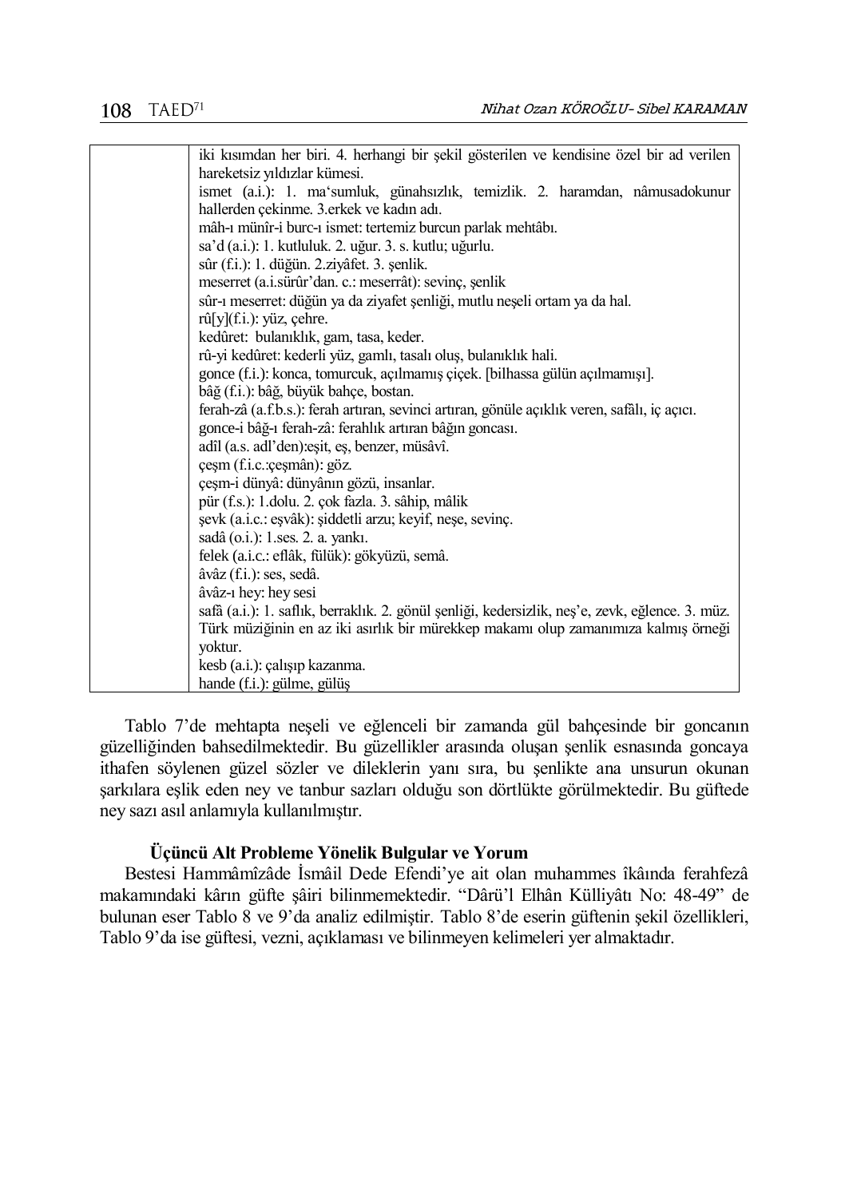| iki kısımdan her biri. 4. herhangi bir şekil gösterilen ve kendisine özel bir ad verilen        |
|-------------------------------------------------------------------------------------------------|
| hareketsiz yıldızlar kümesi.                                                                    |
| ismet (a.i.): 1. ma'sumluk, günahsızlık, temizlik. 2. haramdan, nâmusadokunur                   |
| hallerden çekinme. 3.erkek ve kadın adı.                                                        |
| mâh-ı münîr-i burc-ı ismet: tertemiz burcun parlak mehtâbı.                                     |
| sa'd (a.i.): 1. kutluluk. 2. uğur. 3. s. kutlu; uğurlu.                                         |
| sûr (f.i.): 1. düğün. 2.ziyâfet. 3. şenlik.                                                     |
| meserret (a.i.sürûr'dan. c.: meserrât): sevinç, şenlik                                          |
| sûr-ı meserret: düğün ya da ziyafet şenliği, mutlu neşeli ortam ya da hal.                      |
| $r\hat{u}[y](f.i.):$ yüz, çehre.                                                                |
| kedûret: bulanıklık, gam, tasa, keder.                                                          |
| rû-yi kedûret: kederli yüz, gamlı, tasalı oluş, bulanıklık hali.                                |
| gonce (f.i.): konca, tomurcuk, açılmamış çiçek. [bilhassa gülün açılmamışı].                    |
| bâğ (f.i.): bâğ, büyük bahçe, bostan.                                                           |
| ferah-zâ (a.f.b.s.): ferah artıran, sevinci artıran, gönüle açıklık veren, safâlı, iç açıcı.    |
| gonce-i bâğ-ı ferah-zâ: ferahlık artıran bâğın goncası.                                         |
| adîl (a.s. adl'den): eşit, eş, benzer, müsâvî.                                                  |
| çeşm (f.i.c.: çeşmân): göz.                                                                     |
| çeşm-i dünyâ: dünyânın gözü, insanlar.                                                          |
| pür (f.s.): 1.dolu. 2. çok fazla. 3. sâhip, mâlik                                               |
| şevk (a.i.c.: eşvâk): şiddetli arzu; keyif, neşe, sevinç.                                       |
| sadâ (o.i.): 1.ses. 2. a. yankı.                                                                |
| felek (a.i.c.: eflâk, fülük): gökyüzü, semâ.                                                    |
| âvâz (f.i.): ses, sedâ.                                                                         |
| âvâz-1 hey: hey sesi                                                                            |
| safâ (a.i.): 1. saflık, berraklık. 2. gönül şenliği, kedersizlik, neş'e, zevk, eğlence. 3. müz. |
| Türk müziğinin en az iki asırlık bir mürekkep makamı olup zamanımıza kalmış örneği              |
| yoktur.                                                                                         |
| kesb (a.i.): çalışıp kazanma.                                                                   |
| hande (f.i.): gülme, gülüş                                                                      |
|                                                                                                 |

Tablo 7'de mehtapta neşeli ve eğlenceli bir zamanda gül bahçesinde bir goncanın güzelliğinden bahsedilmektedir. Bu güzellikler arasında oluşan şenlik esnasında goncaya ithafen söylenen güzel sözler ve dileklerin yanı sıra, bu şenlikte ana unsurun okunan şarkılara eşlik eden ney ve tanbur sazları olduğu son dörtlükte görülmektedir. Bu güftede ney sazı asıl anlamıyla kullanılmıştır.

### **Üçüncü Alt Probleme Yönelik Bulgular ve Yorum**

Bestesi Hammâmîzâde İsmâil Dede Efendi'ye ait olan muhammes îkâında ferahfezâ makamındaki kârın güfte şâiri bilinmemektedir. "Dârü'l Elhân Külliyâtı No: 48-49" de bulunan eser Tablo 8 ve 9'da analiz edilmiştir. Tablo 8'de eserin güftenin şekil özellikleri, Tablo 9'da ise güftesi, vezni, açıklaması ve bilinmeyen kelimeleri yer almaktadır.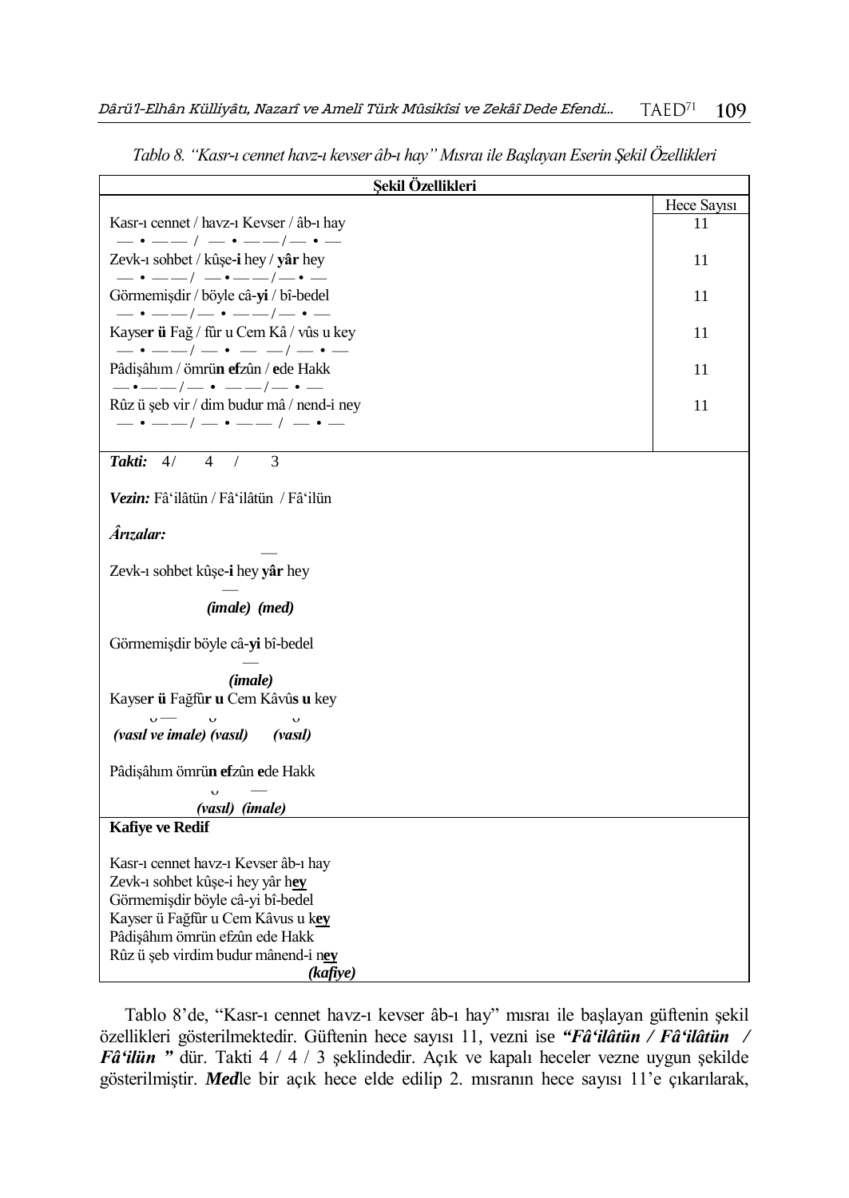| Şekil Özellikleri                                                                     |             |
|---------------------------------------------------------------------------------------|-------------|
|                                                                                       | Hece Sayısı |
| Kasr-ı cennet / havz-ı Kevser / âb-ı hay                                              | 11          |
| $-\cdot$ - $-$ / - $\cdot$ - -/- $\cdot$ -                                            |             |
| Zevk-1 sohbet / kûşe-i hey / yâr hey<br>$-\cdot$ - $-$ / $-\cdot$ - $-$ / $-\cdot$ -  | 11          |
| Görmemişdir / böyle câ-yi / bî-bedel                                                  | 11          |
| $- \cdot$ - - - / - $\cdot$ - - - / - $\cdot$ -                                       |             |
| Kayser ü Fağ / fûr u Cem Kâ / vûs u key                                               | 11          |
| $-\cdot$ $-\cdot$ $ -\cdot$ $-\cdot$ $-$                                              |             |
| Pâdişâhım / ömrün efzûn / ede Hakk                                                    | 11          |
| $-\cdot$ $-\cdot$ $ -\cdot$ $-\cdot$ $-$<br>Rûz ü şeb vir / dim budur mâ / nend-i ney | 11          |
| $ \cdot$ $  /$ $ \cdot$ $  /$ $ \cdot$ $-$                                            |             |
|                                                                                       |             |
| 3<br>Takti: $4/$<br>$\overline{4}$<br>$\sqrt{2}$                                      |             |
|                                                                                       |             |
| Vezin: Fâʿilâtün / Fâʿilâtün / Fâʿilün                                                |             |
| Ârızalar:                                                                             |             |
|                                                                                       |             |
| Zevk-1 sohbet kûşe-i hey yâr hey                                                      |             |
|                                                                                       |             |
| (imale) (med)                                                                         |             |
| Görmemişdir böyle câ-yi bî-bedel                                                      |             |
|                                                                                       |             |
| (imale)                                                                               |             |
| Kayser ü Fağfûr u Cem Kâvûs u key                                                     |             |
| $v = v$<br>$\mathbf{v}$                                                               |             |
| (vasıl ve imale) (vasıl)<br>(vasil)                                                   |             |
| Pâdişâhım ömrün efzûn ede Hakk                                                        |             |
|                                                                                       |             |
| (vasıl) (imale)                                                                       |             |
| Kafiye ve Redif                                                                       |             |
| Kasr-1 cennet havz-1 Kevser âb-1 hay                                                  |             |
| Zevk-1 sohbet kûşe-i hey yâr hey                                                      |             |
| Görmemişdir böyle câ-yi bî-bedel                                                      |             |
| Kayser ü Fağfûr u Cem Kâvus u key                                                     |             |
| Pâdişâhım ömrün efzûn ede Hakk                                                        |             |
| Rûz ü şeb virdim budur mânend-i ney                                                   |             |
| (kafiye)                                                                              |             |

*Tablo 8. "Kasr-ı cennet havz-ı kevser âb-ı hay" Mısraı ile Başlayan Eserin Şekil Özellikleri*

Tablo 8'de, "Kasr-ı cennet havz-ı kevser âb-ı hay" mısraı ile başlayan güftenin şekil özellikleri gösterilmektedir. Güftenin hece sayısı 11, vezni ise *"Fâ'ilâtün / Fâ'ilâtün / Fâ'ilün "* dür. Takti 4 / 4 / 3 şeklindedir. Açık ve kapalı heceler vezne uygun şekilde gösterilmiştir. *Med*le bir açık hece elde edilip 2. mısranın hece sayısı 11'e çıkarılarak,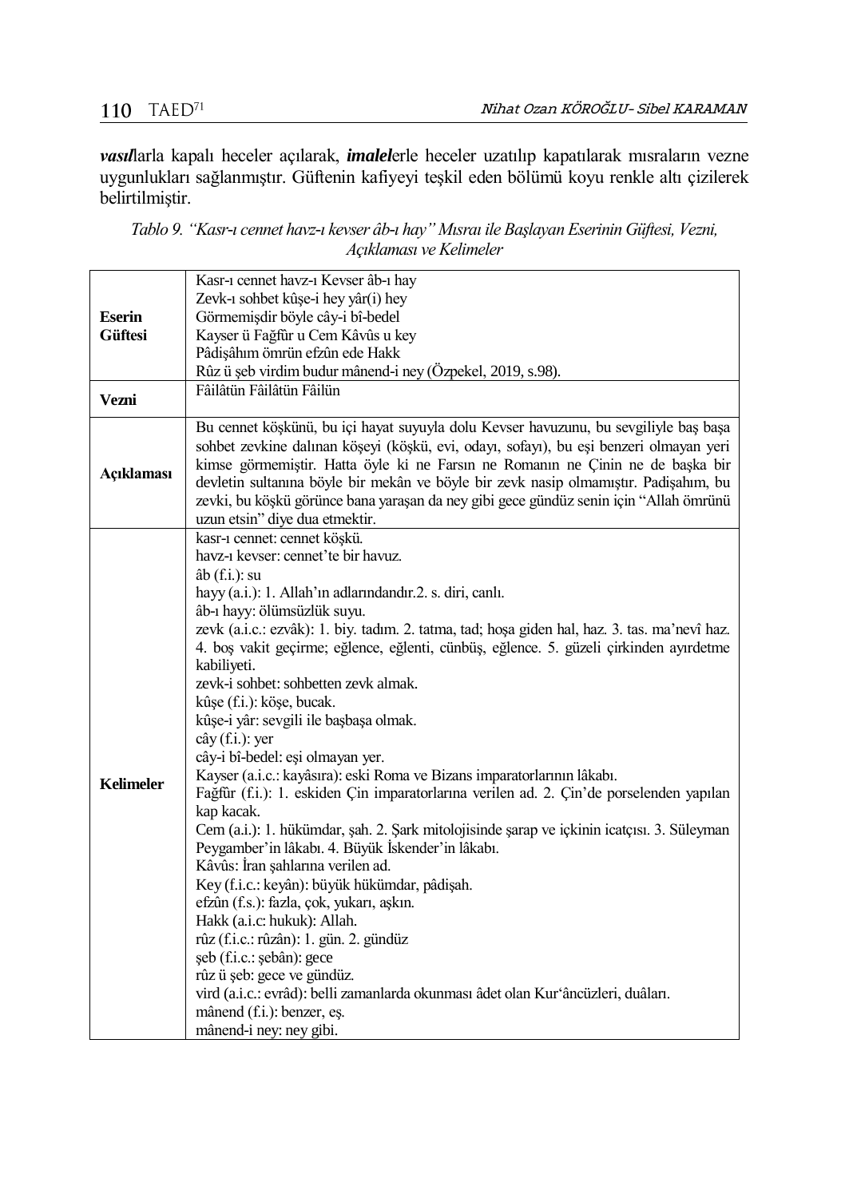*vasıl*larla kapalı heceler açılarak, *imalel*erle heceler uzatılıp kapatılarak mısraların vezne uygunlukları sağlanmıştır. Güftenin kafiyeyi teşkil eden bölümü koyu renkle altı çizilerek belirtilmiştir.

*Tablo 9. "Kasr-ı cennet havz-ı kevser âb-ı hay" Mısraı ile Başlayan Eserinin Güftesi, Vezni, Açıklaması ve Kelimeler*

|                                 | Kasr-1 cennet havz-1 Kevser âb-1 hay                                                                                                                                                                                                                                                                                                                                                                                                                                                |
|---------------------------------|-------------------------------------------------------------------------------------------------------------------------------------------------------------------------------------------------------------------------------------------------------------------------------------------------------------------------------------------------------------------------------------------------------------------------------------------------------------------------------------|
|                                 | Zevk-1 sohbet kûşe-i hey yâr(i) hey                                                                                                                                                                                                                                                                                                                                                                                                                                                 |
| <b>Eserin</b><br><b>Güftesi</b> | Görmemişdir böyle cây-i bî-bedel                                                                                                                                                                                                                                                                                                                                                                                                                                                    |
|                                 |                                                                                                                                                                                                                                                                                                                                                                                                                                                                                     |
|                                 | Kayser ü Fağfûr u Cem Kâvûs u key                                                                                                                                                                                                                                                                                                                                                                                                                                                   |
|                                 | Pâdişâhım ömrün efzûn ede Hakk                                                                                                                                                                                                                                                                                                                                                                                                                                                      |
|                                 | Rûz ü şeb virdim budur mânend-i ney (Özpekel, 2019, s.98).                                                                                                                                                                                                                                                                                                                                                                                                                          |
| Vezni                           | Fâilâtün Fâilâtün Fâilün                                                                                                                                                                                                                                                                                                                                                                                                                                                            |
| Açıklaması                      | Bu cennet köşkünü, bu içi hayat suyuyla dolu Kevser havuzunu, bu sevgiliyle baş başa<br>sohbet zevkine dalınan köşeyi (köşkü, evi, odayı, sofayı), bu eşi benzeri olmayan yeri<br>kimse görmemiştir. Hatta öyle ki ne Farsın ne Romanın ne Çinin ne de başka bir<br>devletin sultanına böyle bir mekân ve böyle bir zevk nasip olmamıştır. Padişahım, bu<br>zevki, bu köşkü görünce bana yaraşan da ney gibi gece gündüz senin için "Allah ömrünü<br>uzun etsin" diye dua etmektir. |
|                                 | kasr-ı cennet: cennet köşkü.                                                                                                                                                                                                                                                                                                                                                                                                                                                        |
|                                 | havz-1 kevser: cennet'te bir havuz.                                                                                                                                                                                                                                                                                                                                                                                                                                                 |
|                                 | $ab$ (f.i.): su                                                                                                                                                                                                                                                                                                                                                                                                                                                                     |
|                                 | hayy (a.i.): 1. Allah'ın adlarındandır.2. s. diri, canlı.                                                                                                                                                                                                                                                                                                                                                                                                                           |
|                                 | âb-ı hayy: ölümsüzlük suyu.                                                                                                                                                                                                                                                                                                                                                                                                                                                         |
|                                 | zevk (a.i.c.: ezvâk): 1. biy. tadım. 2. tatma, tad; hoşa giden hal, haz. 3. tas. ma'nevî haz.                                                                                                                                                                                                                                                                                                                                                                                       |
|                                 | 4. bos vakit geçirme; eğlence, eğlenti, cünbüş, eğlence. 5. güzeli çirkinden ayırdetme<br>kabiliyeti.                                                                                                                                                                                                                                                                                                                                                                               |
|                                 | zevk-i sohbet: sohbetten zevk almak.                                                                                                                                                                                                                                                                                                                                                                                                                                                |
|                                 | kûşe (f.i.): köşe, bucak.                                                                                                                                                                                                                                                                                                                                                                                                                                                           |
|                                 | kûşe-i yâr: sevgili ile başbaşa olmak.                                                                                                                                                                                                                                                                                                                                                                                                                                              |
|                                 | $c\hat{a}y(f.i.)$ : yer                                                                                                                                                                                                                                                                                                                                                                                                                                                             |
|                                 | cây-i bî-bedel: eşi olmayan yer.                                                                                                                                                                                                                                                                                                                                                                                                                                                    |
|                                 | Kayser (a.i.c.: kayâsıra): eski Roma ve Bizans imparatorlarının lâkabı.                                                                                                                                                                                                                                                                                                                                                                                                             |
| <b>Kelimeler</b>                | Fağfür (f.i.): 1. eskiden Çin imparatorlarına verilen ad. 2. Çin'de porselenden yapılan                                                                                                                                                                                                                                                                                                                                                                                             |
|                                 | kap kacak.                                                                                                                                                                                                                                                                                                                                                                                                                                                                          |
|                                 | Cem (a.i.): 1. hükümdar, şah. 2. Şark mitolojisinde şarap ve içkinin icatçısı. 3. Süleyman                                                                                                                                                                                                                                                                                                                                                                                          |
|                                 | Peygamber'in lâkabı. 4. Büyük İskender'in lâkabı.                                                                                                                                                                                                                                                                                                                                                                                                                                   |
|                                 | Kâvûs: İran şahlarına verilen ad.                                                                                                                                                                                                                                                                                                                                                                                                                                                   |
|                                 | Key (f.i.c.: keyân): büyük hükümdar, pâdişah.                                                                                                                                                                                                                                                                                                                                                                                                                                       |
|                                 | efzûn (f.s.): fazla, çok, yukarı, aşkın.                                                                                                                                                                                                                                                                                                                                                                                                                                            |
|                                 | Hakk (a.i.c: hukuk): Allah.                                                                                                                                                                                                                                                                                                                                                                                                                                                         |
|                                 | rûz (f.i.c.: rûzân): 1. gün. 2. gündüz                                                                                                                                                                                                                                                                                                                                                                                                                                              |
|                                 | şeb (f.i.c.: şebân): gece                                                                                                                                                                                                                                                                                                                                                                                                                                                           |
|                                 | rûz ü şeb: gece ve gündüz.                                                                                                                                                                                                                                                                                                                                                                                                                                                          |
|                                 | vird (a.i.c.: evrâd): belli zamanlarda okunması âdet olan Kur'âncüzleri, duâları.                                                                                                                                                                                                                                                                                                                                                                                                   |
|                                 | mânend (f.i.): benzer, es.                                                                                                                                                                                                                                                                                                                                                                                                                                                          |
|                                 | mânend-i ney: ney gibi.                                                                                                                                                                                                                                                                                                                                                                                                                                                             |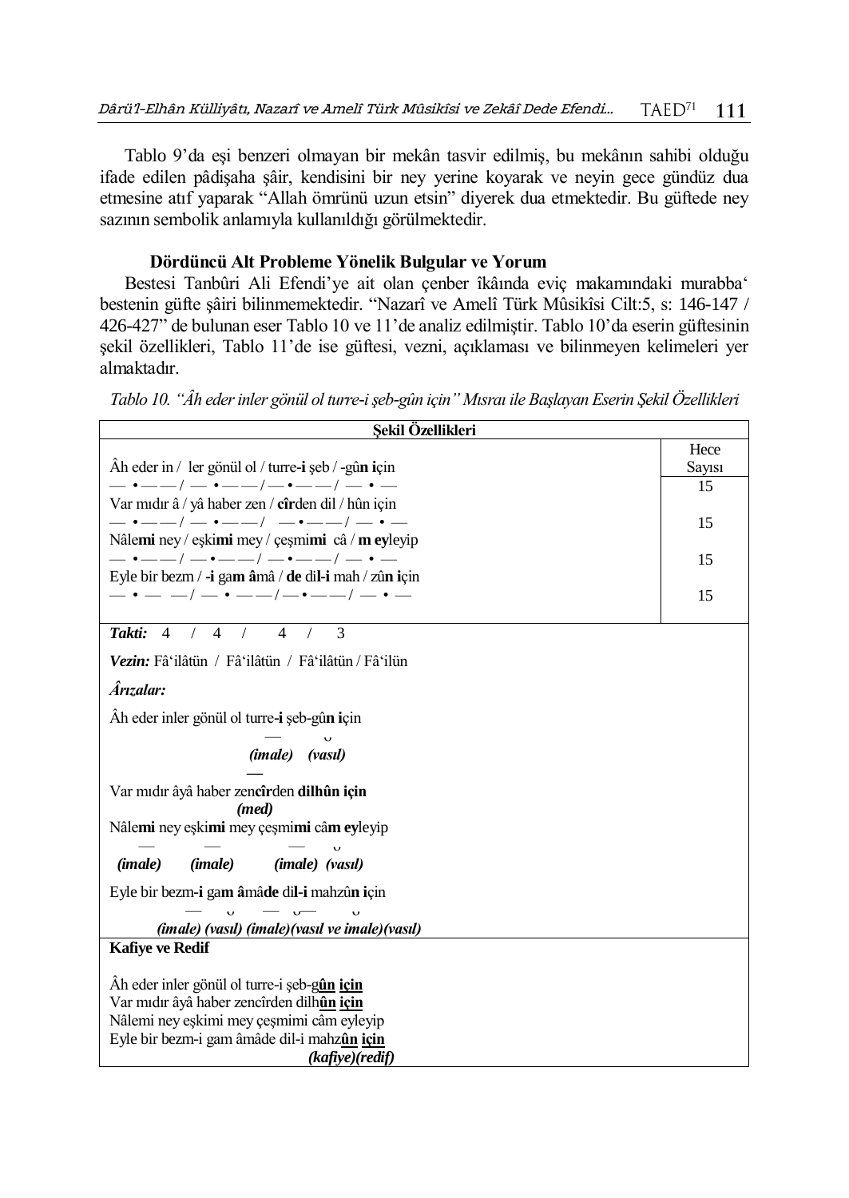Tablo 9'da eşi benzeri olmayan bir mekân tasvir edilmiş, bu mekânın sahibi olduğu ifade edilen pâdişaha şâir, kendisini bir ney yerine koyarak ve neyin gece gündüz dua etmesine atıf yaparak "Allah ömrünü uzun etsin" diyerek dua etmektedir. Bu güftede ney sazının sembolik anlamıyla kullanıldığı görülmektedir.

## **Dördüncü Alt Probleme Yönelik Bulgular ve Yorum**

Bestesi Tanbûri Ali Efendi'ye ait olan çenber îkâında eviç makamındaki murabba' bestenin güfte şâiri bilinmemektedir. "Nazarî ve Amelî Türk Mûsikîsi Cilt:5, s: 146-147 / 426-427" de bulunan eser Tablo 10 ve 11'de analiz edilmiştir. Tablo 10'da eserin güftesinin şekil özellikleri, Tablo 11'de ise güftesi, vezni, açıklaması ve bilinmeyen kelimeleri yer almaktadır.

*Tablo 10. "Âh eder inler gönül ol turre-i şeb-gûn için" Mısraı ile Başlayan Eserin Şekil Özellikleri*

| Sekil Özellikleri                                                                                             |        |
|---------------------------------------------------------------------------------------------------------------|--------|
|                                                                                                               | Hece   |
| Ah eder in / ler gönül ol / turre-i şeb / -gûn için                                                           | Sayısı |
| $-$ • $ -$ / $-$ • $ -$ / $-$ • $ -$ / $-$ • $-$                                                              | 15     |
| Var mıdır â / yâ haber zen / cîrden dil / hûn için                                                            |        |
| $-$ • $ -$ / $-$ • $ -$ / $-$ • $ -$ / $-$ • $-$                                                              | 15     |
| Nâlemi ney / eşkimi mey / çeşmimi câ / m eyleyip<br>— •——/ —•——/ —•——/ — • —                                  |        |
| Eyle bir bezm / -i gam âmâ / de dil-i mah / zûn için                                                          | 15     |
| $ \cdot$ $  /$ $ \cdot$ $  /$ $ \cdot$ $  /$ $ \cdot$ $-$                                                     | 15     |
|                                                                                                               |        |
| $\mathcal{E}$<br>$\overline{4}$<br>Takti: 4<br>$\frac{1}{2}$<br>$\overline{4}$<br>$\frac{1}{2}$<br>$\sqrt{2}$ |        |
| Vezin: Fâ'ilâtün / Fâ'ilâtün / Fâ'ilâtün / Fâ'ilün                                                            |        |
| Ârızalar:                                                                                                     |        |
| Âh eder inler gönül ol turre i şeb-gûn için                                                                   |        |
| (imale) (vasıl)                                                                                               |        |
| Var mıdır âyâ haber zencîrden dilhûn için                                                                     |        |
| (med)                                                                                                         |        |
| Nâlemi ney eşkimi mey çeşmimi câm eyleyip                                                                     |        |
| ( <i>imale</i> )<br>(imale)<br>( <i>imale</i> ) (vasil)                                                       |        |
| Eyle bir bezm-i gam âmâde dil-i mahzûn için                                                                   |        |
|                                                                                                               |        |
| (imale) (vasıl) (imale) (vasıl ve imale) (vasıl)                                                              |        |
| <b>Kafiye ve Redif</b>                                                                                        |        |
| Ah eder inler gönül ol turre-i şeb-gûn için                                                                   |        |
| Var mıdır âyâ haber zencîrden dilhûn için                                                                     |        |
| Nâlemi ney eşkimi mey çeşmimi câm eyleyip                                                                     |        |
| Eyle bir bezm-i gam âmâde dil-i mahzûn için                                                                   |        |
| (kafive)(redif)                                                                                               |        |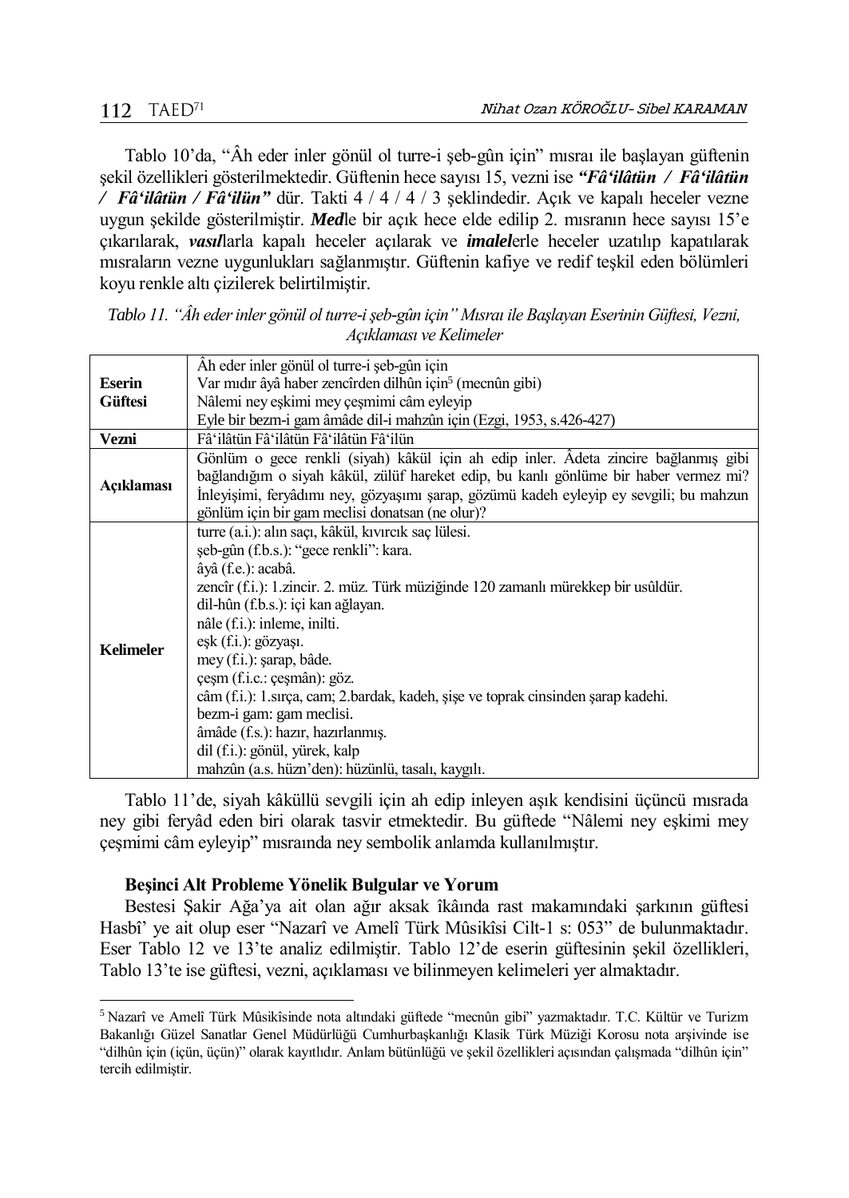$\overline{a}$ 

Tablo 10'da, "Âh eder inler gönül ol turre-i şeb-gûn için" mısraı ile başlayan güftenin şekil özellikleri gösterilmektedir. Güftenin hece sayısı 15, vezni ise *"Fâ'ilâtün / Fâ'ilâtün / Fâ'ilâtün / Fâ'ilün"* dür. Takti 4 / 4 / 4 / 3 şeklindedir. Açık ve kapalı heceler vezne uygun şekilde gösterilmiştir. *Med*le bir açık hece elde edilip 2. mısranın hece sayısı 15'e çıkarılarak, *vasıl*larla kapalı heceler açılarak ve *imalel*erle heceler uzatılıp kapatılarak mısraların vezne uygunlukları sağlanmıştır. Güftenin kafiye ve redif teşkil eden bölümleri koyu renkle altı çizilerek belirtilmiştir.

| Tablo 11. "Âh eder inler gönül ol turre-i şeb-gûn için" Mısraı ile Başlayan Eserinin Güftesi, Vezni, |
|------------------------------------------------------------------------------------------------------|
| Acıklaması ve Kelimeler                                                                              |
| $\hat{A}$ h eder inler gönül ol turre-i seb-gûn icin                                                 |

|                  | Ah eder inler gönül ol turre-i şeb-gûn için                                            |
|------------------|----------------------------------------------------------------------------------------|
| <b>Eserin</b>    | Var mıdır âyâ haber zencîrden dilhûn için <sup>5</sup> (mecnûn gibi)                   |
| <b>Güftesi</b>   | Nâlemi ney eşkimi mey çeşmimi câm eyleyip                                              |
|                  | Eyle bir bezm-i gam âmâde dil-i mahzûn için (Ezgi, 1953, s.426-427)                    |
| Vezni            | Fâ'ilâtün Fâ'ilâtün Fâ'ilâtün Fâ'ilün                                                  |
|                  | Gönlüm o gece renkli (siyah) kâkül için ah edip inler. Adeta zincire bağlanmış gibi    |
| Açıklaması       | bağlandığım o siyah kâkül, zülüf hareket edip, bu kanlı gönlüme bir haber vermez mi?   |
|                  | İnleyişimi, feryâdımı ney, gözyaşımı şarap, gözümü kadeh eyleyip ey sevgili; bu mahzun |
|                  | gönlüm için bir gam meclisi donatsan (ne olur)?                                        |
|                  | turre (a.i.): alın saçı, kâkül, kıvırcık saç lülesi.                                   |
|                  | şeb-gûn (f.b.s.): "gece renkli": kara.                                                 |
|                  | âyâ (f.e.): acabâ.                                                                     |
|                  | zencîr (f.i.): 1.zincir. 2. müz. Türk müziğinde 120 zamanlı mürekkep bir usûldür.      |
|                  | dil-hûn (f.b.s.): içi kan ağlayan.                                                     |
|                  | nâle (f.i.): inleme, inilti.                                                           |
| <b>Kelimeler</b> | eşk (f.i.): gözyaşı.                                                                   |
|                  | mey (f.i.): şarap, bâde.                                                               |
|                  | çeşm (f.i.c.: çeşmân): göz.                                                            |
|                  | câm (f.i.): 1.sirça, cam; 2.bardak, kadeh, șișe ve toprak cinsinden șarap kadehi.      |
|                  | bezm-i gam: gam meclisi.                                                               |
|                  | âmâde (f.s.): hazır, hazırlanmış.                                                      |
|                  | dil (f.i.): gönül, yürek, kalp                                                         |
|                  | mahzûn (a.s. hüzn'den): hüzünlü, tasalı, kaygılı.                                      |

Tablo 11'de, siyah kâküllü sevgili için ah edip inleyen aşık kendisini üçüncü mısrada ney gibi feryâd eden biri olarak tasvir etmektedir. Bu güftede "Nâlemi ney eşkimi mey çeşmimi câm eyleyip" mısraında ney sembolik anlamda kullanılmıştır.

### **Beşinci Alt Probleme Yönelik Bulgular ve Yorum**

Bestesi Şakir Ağa'ya ait olan ağır aksak îkâında rast makamındaki şarkının güftesi Hasbî' ye ait olup eser "Nazarî ve Amelî Türk Mûsikîsi Cilt-1 s: 053" de bulunmaktadır. Eser Tablo 12 ve 13'te analiz edilmiştir. Tablo 12'de eserin güftesinin şekil özellikleri, Tablo 13'te ise güftesi, vezni, açıklaması ve bilinmeyen kelimeleri yer almaktadır.

<sup>5</sup> Nazarî ve Amelî Türk Mûsikîsinde nota altındaki güftede "mecnûn gibi" yazmaktadır. T.C. Kültür ve Turizm Bakanlığı Güzel Sanatlar Genel Müdürlüğü Cumhurbaşkanlığı Klasik Türk Müziği Korosu nota arşivinde ise "dilhûn için (içün, üçün)" olarak kayıtlıdır. Anlam bütünlüğü ve şekil özellikleri açısından çalışmada "dilhûn için" tercih edilmiştir.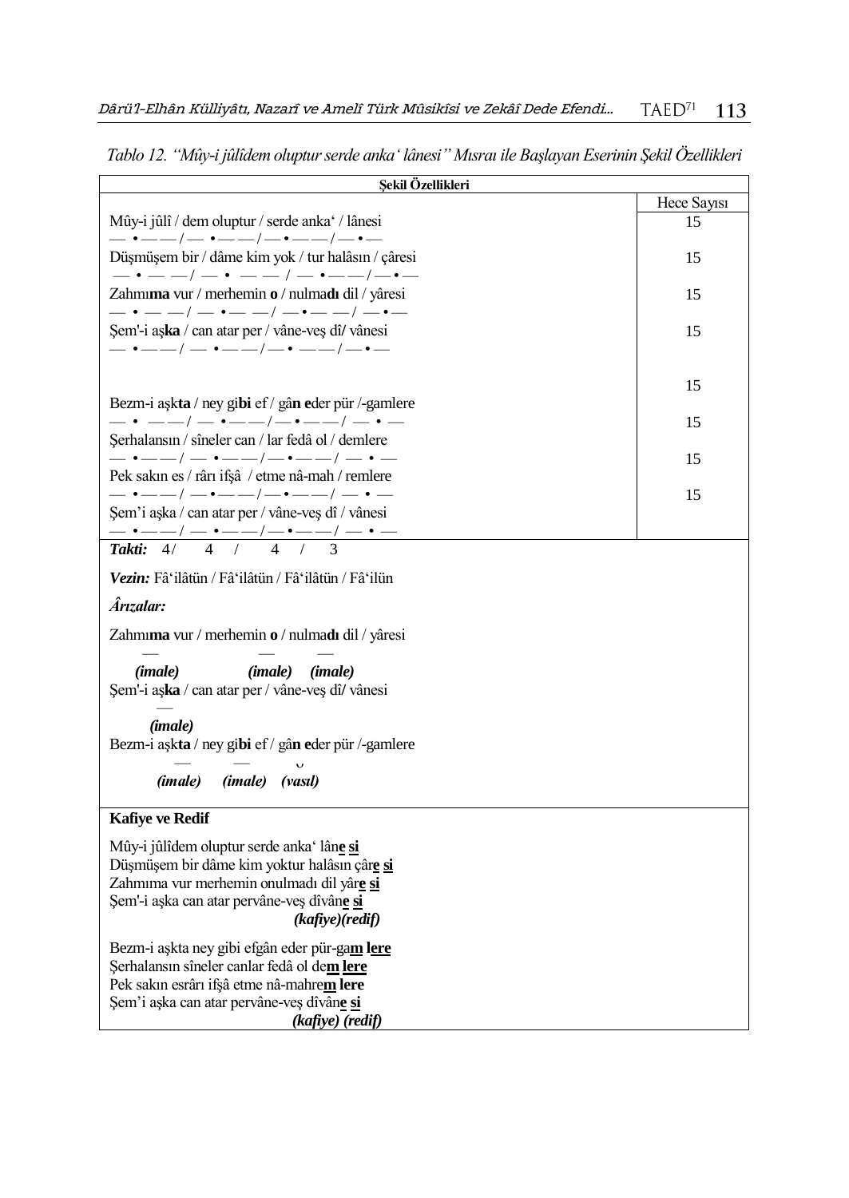| Şekil Özellikleri                                                                                                                                                                                          |             |
|------------------------------------------------------------------------------------------------------------------------------------------------------------------------------------------------------------|-------------|
|                                                                                                                                                                                                            | Hece Sayssi |
| Mûy-i jûlî / dem oluptur / serde anka / lânesi<br>— •——/— •——/—•——/—•—                                                                                                                                     | 15          |
| Düşmüşem bir / dâme kim yok / tur halâsın / çâresi<br>$ \cdot$ $  /$ $ \cdot$ $  /$ $ \cdot$ $  /$ $ \cdot$ $-$                                                                                            | 15          |
| Zahmıma vur / merhemin o / nulmadı dil / yâresi<br>$-$ • $ -$ / $-$ • $ -$ / $-$ • $ -$ / $-$ • $-$                                                                                                        | 15          |
| Şem'-i aşka / can atar per / vâne-veş dî/ vânesi<br>$-$ • $--/$ $-$ • $---/$ $-$ • $---/$ $-$ • $---$                                                                                                      | 15          |
|                                                                                                                                                                                                            | 15          |
| Bezm-i aşkta / ney gibi ef / gân eder pür /-gamlere<br>$- \cdot$ - $-$ / $ \cdot$ $ -$ / $- \cdot$ $ -$ / $ \cdot$                                                                                         |             |
| Şerhalansın / sîneler can / lar fedâ ol / demlere                                                                                                                                                          | 15          |
| $-\cdot$ - $-$ / $ \cdot$ $--$ / $ \cdot$ $--$ / $ \cdot$ $-$<br>Pek sakın es / rârı ifşâ / etme nâ-mah / remlere                                                                                          | 15          |
| $-$ • $--/$ $-$ • $--/$ $-$ • $--/$ $-$ • $-$<br>Şem'i aşka / can atar per / vâne-veş dî / vânesi                                                                                                          | 15          |
|                                                                                                                                                                                                            |             |
| $\overline{4}$<br>Takti:<br>$\overline{4}$<br>$\sqrt{2}$<br>4/                                                                                                                                             |             |
| Vezin: Fâ'ilâtün / Fâ'ilâtün / Fâ'ilâtün / Fâ'ilün                                                                                                                                                         |             |
| Ârızalar:                                                                                                                                                                                                  |             |
| Zahmıma vur / merhemin o / nulmadı dil / yâresi                                                                                                                                                            |             |
| (imale)<br>( <i>imale</i> ) ( <i>imale</i> )<br>Şem'-i aşka / can atar per / vâne-veş dî/ vânesi                                                                                                           |             |
| ( <i>imale</i> )<br>Bezm-i aşkta / ney gibi ef / gân eder pür /-gamlere                                                                                                                                    |             |
|                                                                                                                                                                                                            |             |
| (imale) (vasıl)<br>(imale)                                                                                                                                                                                 |             |
| <b>Kafiye ve Redif</b>                                                                                                                                                                                     |             |
| Mûy-i jûlîdem oluptur serde anka' lâne si<br>Düşmüşem bir dâme kim yoktur halâsın çâre si<br>Zahmıma vur merhemin onulmadı dil yâre si<br>Şem'-i aşka can atar pervâne-veş dîvâne si<br>(kafiye)(redif)    |             |
| Bezm-i aşkta ney gibi efgân eder pür-gam lere<br>Şerhalansın sîneler canlar fedâ ol dem lere<br>Pek sakın esrârı ifşâ etme nâ-mahrem lere<br>Şem'i aşka can atar pervâne-veş dîvâne si<br>(kafiye) (redif) |             |

*Tablo 12. "Mûy-i jûlîdem oluptur serde anka' lânesi" Mısraı ile Başlayan Eserinin Şekil Özellikleri*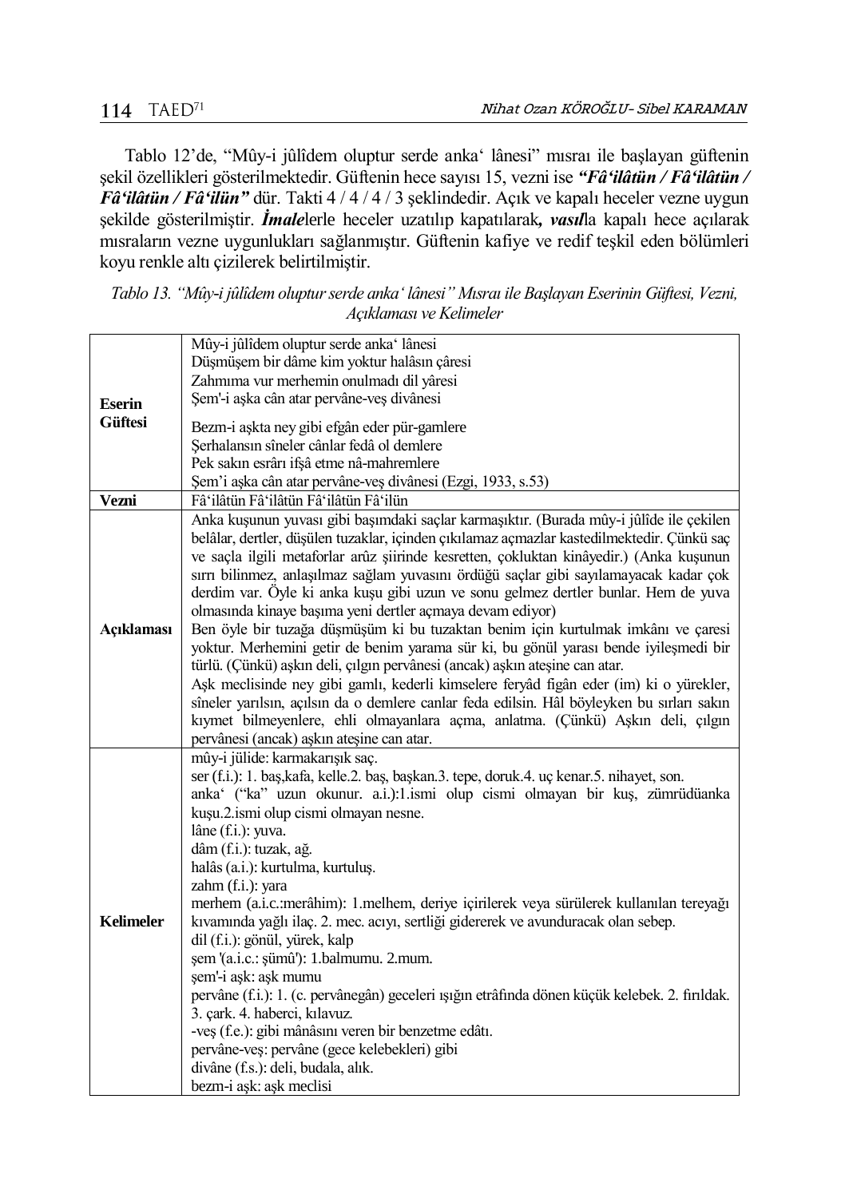Tablo 12'de, "Mûy-i jûlîdem oluptur serde anka' lânesi" mısraı ile başlayan güftenin şekil özellikleri gösterilmektedir. Güftenin hece sayısı 15, vezni ise *"Fâ'ilâtün / Fâ'ilâtün / Fâ'ilâtün / Fâ'ilün"* dür. Takti 4 / 4 / 4 / 3 şeklindedir. Açık ve kapalı heceler vezne uygun şekilde gösterilmiştir. *İmale*lerle heceler uzatılıp kapatılarak*, vasıl*la kapalı hece açılarak mısraların vezne uygunlukları sağlanmıştır. Güftenin kafiye ve redif teşkil eden bölümleri koyu renkle altı çizilerek belirtilmiştir.

| Tablo 13. "Mûy-i jûlîdem oluptur serde anka 'lânesi" Mısraı ile Başlayan Eserinin Güftesi, Vezni,<br>Acıklaması ve Kelimeler |
|------------------------------------------------------------------------------------------------------------------------------|
| $1.60 \pm 0.101$ $1.710$                                                                                                     |

|                  | Mûy-i jûlîdem oluptur serde anka' lânesi                                                       |
|------------------|------------------------------------------------------------------------------------------------|
|                  | Düşmüşem bir dâme kim yoktur halâsın çâresi                                                    |
|                  | Zahmıma vur merhemin onulmadı dil yâresi                                                       |
| <b>Eserin</b>    | Şem'-i aşka cân atar pervâne-veş divânesi                                                      |
| <b>Güftesi</b>   | Bezm-i aşkta ney gibi efgân eder pür-gamlere                                                   |
|                  | Serhalansın sîneler cânlar fedâ ol demlere                                                     |
|                  | Pek sakın esrârı ifşâ etme nâ-mahremlere                                                       |
|                  | Şem'i aşka cân atar pervâne-veş divânesi (Ezgi, 1933, s.53)                                    |
| Vezni            | Fâ'ilâtün Fâ'ilâtün Fâ'ilâtün Fâ'ilün                                                          |
|                  | Anka kuşunun yuvası gibi başımdaki saçlar karmaşıktır. (Burada mûy-i jûlîde ile çekilen        |
|                  | belâlar, dertler, düşülen tuzaklar, içinden çıkılamaz açmazlar kastedilmektedir. Çünkü saç     |
|                  | ve saçla ilgili metaforlar arûz şiirinde kesretten, çokluktan kinâyedir.) (Anka kuşunun        |
|                  | sırrı bilinmez, anlaşılmaz sağlam yuvasını ördüğü saçlar gibi sayılamayacak kadar çok          |
|                  | derdim var. Öyle ki anka kuşu gibi uzun ve sonu gelmez dertler bunlar. Hem de yuva             |
|                  | olmasında kinaye başıma yeni dertler açmaya devam ediyor)                                      |
| Açıklaması       | Ben öyle bir tuzağa düşmüşüm ki bu tuzaktan benim için kurtulmak imkânı ve çaresi              |
|                  | yoktur. Merhemini getir de benim yarama sür ki, bu gönül yarası bende iyileşmedi bir           |
|                  | türlü. (Çünkü) aşkın deli, çılgın pervânesi (ancak) aşkın ateşine can atar.                    |
|                  | Aşk meclisinde ney gibi gamlı, kederli kimselere feryâd figân eder (im) ki o yürekler,         |
|                  | sîneler yarılsın, açılsın da o demlere canlar feda edilsin. Hâl böyleyken bu sırları sakın     |
|                  |                                                                                                |
|                  |                                                                                                |
|                  | kıymet bilmeyenlere, ehli olmayanlara açma, anlatma. (Çünkü) Aşkın deli, çılgın                |
|                  | pervânesi (ancak) aşkın ateşine can atar.                                                      |
|                  | mûy-i jülide: karmakarışık saç.                                                                |
|                  | ser (f.i.): 1. baş,kafa, kelle.2. baş, başkan.3. tepe, doruk.4. uç kenar.5. nihayet, son.      |
|                  | anka' ("ka" uzun okunur. a.i.):1.ismi olup cismi olmayan bir kuş, zümrüdüanka                  |
|                  | kuşu.2.ismi olup cismi olmayan nesne.<br>lâne (f.i.): yuva.                                    |
|                  | dâm (f.i.): tuzak, ağ.                                                                         |
|                  | halâs (a.i.): kurtulma, kurtuluş.                                                              |
|                  | zahm (f.i.): yara                                                                              |
|                  | merhem (a.i.c.:merâhim): 1.melhem, deriye içirilerek veya sürülerek kullanılan tereyağı        |
| <b>Kelimeler</b> | kıvamında yağlı ilaç. 2. mec. acıyı, sertliği gidererek ve avunduracak olan sebep.             |
|                  | dil (f.i.): gönül, yürek, kalp                                                                 |
|                  | şem '(a.i.c.: şümû'): 1.balmumu. 2.mum.                                                        |
|                  | sem'-i ask: ask mumu                                                                           |
|                  | pervâne (f.i.): 1. (c. pervânegân) geceleri ışığın etrâfında dönen küçük kelebek. 2. fırıldak. |
|                  | 3. çark. 4. haberci, kılavuz.                                                                  |
|                  | -veș (f.e.): gibi mânâsını veren bir benzetme edâtı.                                           |
|                  | pervâne-veș: pervâne (gece kelebekleri) gibi                                                   |
|                  | divâne (f.s.): deli, budala, alık.<br>bezm-i aşk: aşk meclisi                                  |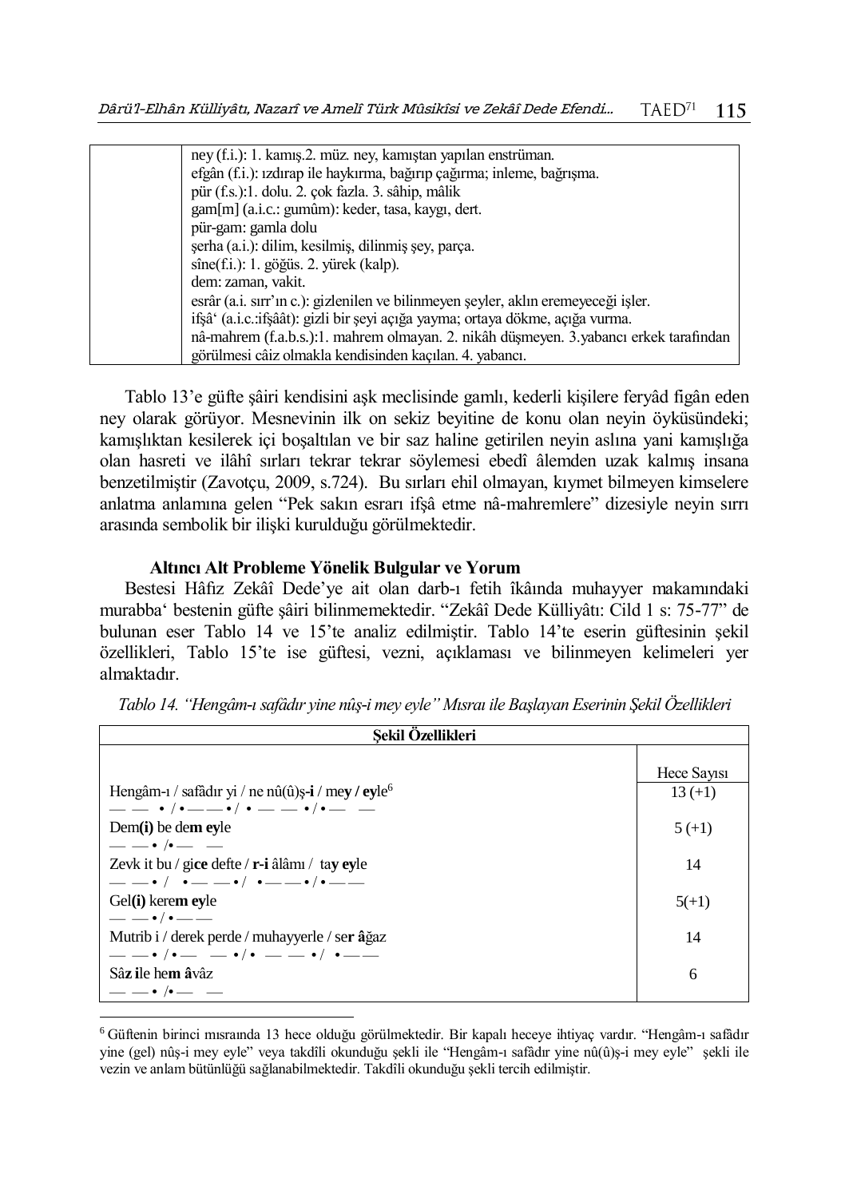| ney (f.i.): 1. kamış.2. müz. ney, kamıştan yapılan enstrüman.                         |
|---------------------------------------------------------------------------------------|
| efgân (f.i.): izdirap ile haykırma, bağırıp çağırma; inleme, bağrışma.                |
| pür (f.s.):1. dolu. 2. çok fazla. 3. sâhip, mâlik                                     |
| gam[m] (a.i.c.: gumûm): keder, tasa, kaygı, dert.                                     |
| pür-gam: gamla dolu                                                                   |
| şerha (a.i.): dilim, kesilmiş, dilinmiş şey, parça.                                   |
| sîne(f.i.): 1. göğüs. 2. yürek (kalp).                                                |
| dem: zaman, vakit.                                                                    |
| esrâr (a.i. sırr'ın c.): gizlenilen ve bilinmeyen şeyler, aklın eremeyeceği işler.    |
| ifşâ' (a.i.c.:ifşâât): gizli bir şeyi açığa yayma; ortaya dökme, açığa vurma.         |
| nâ-mahrem (f.a.b.s.):1. mahrem olmayan. 2. nikâh düşmeyen. 3.yabancı erkek tarafından |
| görülmesi câiz olmakla kendisinden kaçılan. 4. yabancı.                               |

Tablo 13'e güfte şâiri kendisini aşk meclisinde gamlı, kederli kişilere feryâd figân eden ney olarak görüyor. Mesnevinin ilk on sekiz beyitine de konu olan neyin öyküsündeki; kamışlıktan kesilerek içi boşaltılan ve bir saz haline getirilen neyin aslına yani kamışlığa olan hasreti ve ilâhî sırları tekrar tekrar söylemesi ebedî âlemden uzak kalmış insana benzetilmiştir (Zavotçu, 2009, s.724). Bu sırları ehil olmayan, kıymet bilmeyen kimselere anlatma anlamına gelen "Pek sakın esrarı ifşâ etme nâ-mahremlere" dizesiyle neyin sırrı arasında sembolik bir ilişki kurulduğu görülmektedir.

#### **Altıncı Alt Probleme Yönelik Bulgular ve Yorum**

 $\overline{a}$ 

Bestesi Hâfız Zekâî Dede'ye ait olan darb-ı fetih îkâında muhayyer makamındaki murabba' bestenin güfte şâiri bilinmemektedir. "Zekâî Dede Külliyâtı: Cild 1 s: 75-77" de bulunan eser Tablo 14 ve 15'te analiz edilmiştir. Tablo 14'te eserin güftesinin şekil özellikleri, Tablo 15'te ise güftesi, vezni, açıklaması ve bilinmeyen kelimeleri yer almaktadır.

| Sekil Özellikleri                                             |             |
|---------------------------------------------------------------|-------------|
|                                                               | Hece Sayisi |
| Hengâm-i / safâdir yi / ne nû(û)ș-i / mey / eyle <sup>6</sup> | $13 (+1)$   |
| $- - \cdot/$ . $- - \cdot/$ . $- - \cdot/$ . $-$              |             |
| Dem $(i)$ be dem evle                                         | 5(1)        |
| $- - \cdot$ / $ -$                                            |             |
| Zevk it bu / gice defte / r-i âlâmı / tay eyle                | 14          |
| $-- \cdot / \cdot -- - \cdot / \cdot -- - \cdot / \cdot --$   |             |
| Gel(i) kerem eyle                                             | $5(+1)$     |
| $- \cdot$ / $\cdot$ $--$                                      |             |
| Mutrib i / derek perde / muhayyerle / ser âğaz                | 14          |
| $- - \cdot$ / $- - \cdot$ / $- - \cdot$ / $- -$               |             |
| Sâz ile hem âvâz                                              | 6           |
| $- - \cdot$ / $ -$                                            |             |

*Tablo 14. "Hengâm-ı safâdır yine nûş-i mey eyle" Mısraı ile Başlayan Eserinin Şekil Özellikleri*

<sup>6</sup> Güftenin birinci mısraında 13 hece olduğu görülmektedir. Bir kapalı heceye ihtiyaç vardır. "Hengâm-ı safâdır yine (gel) nûş-i mey eyle" veya takdîli okunduğu şekli ile "Hengâm-ı safâdır yine nû(û)ş-i mey eyle" şekli ile vezin ve anlam bütünlüğü sağlanabilmektedir. Takdîli okunduğu şekli tercih edilmiştir.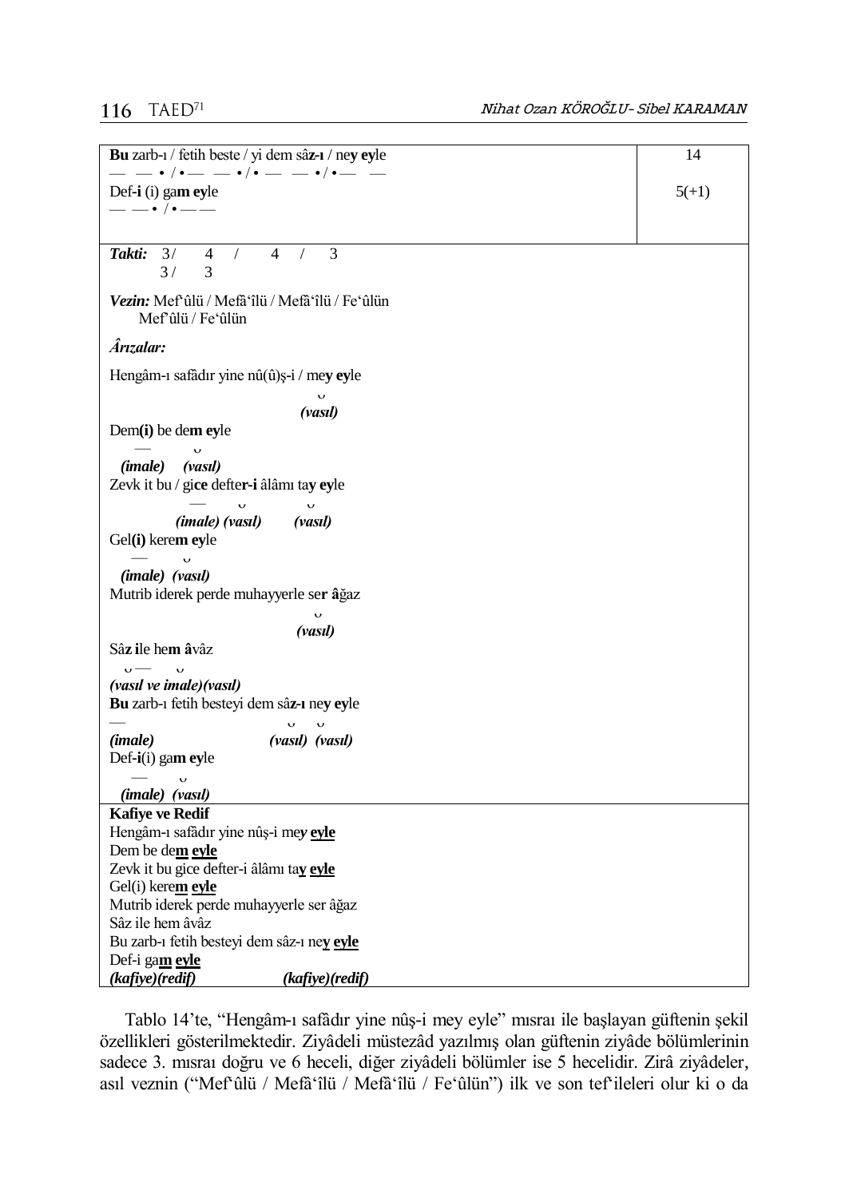# 116  $TABLED^{71}$

| Bu zarb-1 / fetih beste / yi dem sâz-1 / ney eyle                                                        | 14      |
|----------------------------------------------------------------------------------------------------------|---------|
| Def-i (i) gam eyle                                                                                       | $5(+1)$ |
| ——• /•——                                                                                                 |         |
| 3/<br>3<br>Takti:<br>$\overline{4}$<br>4<br>$\sqrt{2}$<br>$\sqrt{2}$<br>3<br>3/                          |         |
| Vezin: Mef`ûlü / Mefâ`îlü / Mefâ`îlü / Fe`ûlün<br>Mef'ûlü / Fe'ûlün                                      |         |
| Ârızalar:                                                                                                |         |
| Hengâm-ı safâdır yine nû(û)ş-i / mey eyle                                                                |         |
| (vasıl)                                                                                                  |         |
| $Dem(i)$ be dem eyle                                                                                     |         |
| $\mathbf{\dot{v}}$<br>(imale)<br>(vasıl)<br>Zevk it bu / gice defter-i âlâmı tay eyle                    |         |
| $\cup$<br>$\checkmark$<br><i>(imale) (vasil)</i><br>(vasil)<br>Gel(i) kerem eyle                         |         |
| (imale) (vasıl)<br>Mutrib iderek perde muhayyerle ser âğaz                                               |         |
| $\cup$<br>(vasıl)                                                                                        |         |
| Sâz ile hem âvâz                                                                                         |         |
| $\frac{1}{2}$<br>$\overline{v}$<br>(vasıl ve imale)(vasıl)<br>Bu zarb-1 fetih besteyi dem sâz-1 ney eyle |         |
| (vasıl) (vasıl)<br>( <i>imale</i> )                                                                      |         |
| Def-i(i) gam eyle                                                                                        |         |
| $\cup$<br>(imale) (vasıl)                                                                                |         |
| <b>Kafiye ve Redif</b>                                                                                   |         |
| Hengâm-ı safâdır yine nûş-i mey eyle<br>Dem be dem eyle                                                  |         |
| Zevk it bu gice defter-i âlâmı tay eyle                                                                  |         |
| Gel(i) kerem eyle                                                                                        |         |
| Mutrib iderek perde muhayyerle ser âğaz                                                                  |         |
| Sâz ile hem âvâz                                                                                         |         |
| Bu zarb-1 fetih besteyi dem sâz-1 ney eyle<br>Def-i gam eyle                                             |         |
| (kafiye)(redif)<br>(kafiye)(redif)                                                                       |         |

Tablo 14'te, "Hengâm-ı safâdır yine nûş-i mey eyle" mısraı ile başlayan güftenin şekil özellikleri gösterilmektedir. Ziyâdeli müstezâd yazılmış olan güftenin ziyâde bölümlerinin sadece 3. mısraı doğru ve 6 heceli, diğer ziyâdeli bölümler ise 5 hecelidir. Zirâ ziyâdeler, asıl veznin ("Mef'ûlü / Mefâ'îlü / Mefâ'îlü / Fe'ûlün") ilk ve son tef'ileleri olur ki o da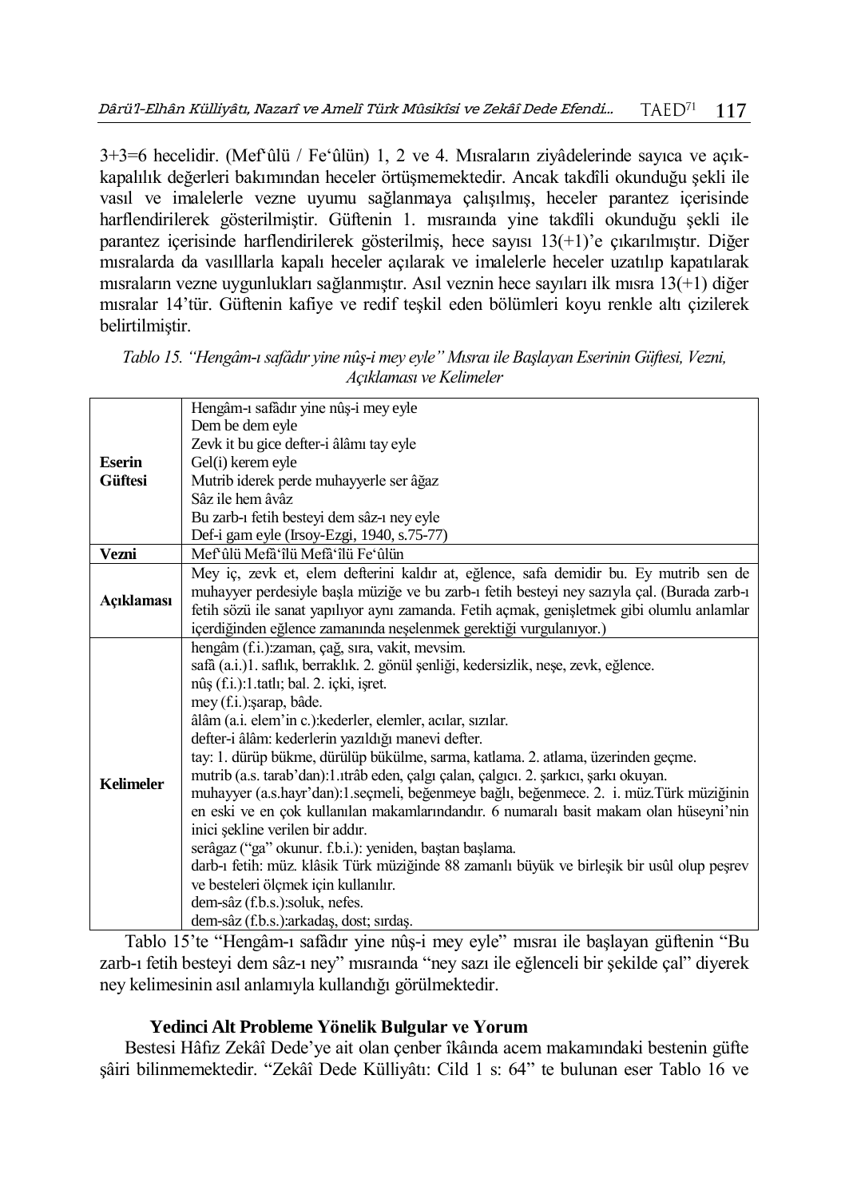3+3=6 hecelidir. (Mef'ûlü / Fe'ûlün) 1, 2 ve 4. Mısraların ziyâdelerinde sayıca ve açıkkapalılık değerleri bakımından heceler örtüşmemektedir. Ancak takdîli okunduğu şekli ile vasıl ve imalelerle vezne uyumu sağlanmaya çalışılmış, heceler parantez içerisinde harflendirilerek gösterilmiştir. Güftenin 1. mısraında yine takdîli okunduğu şekli ile parantez içerisinde harflendirilerek gösterilmiş, hece sayısı 13(+1)'e çıkarılmıştır. Diğer mısralarda da vasılllarla kapalı heceler açılarak ve imalelerle heceler uzatılıp kapatılarak mısraların vezne uygunlukları sağlanmıştır. Asıl veznin hece sayıları ilk mısra 13(+1) diğer mısralar 14'tür. Güftenin kafiye ve redif teşkil eden bölümleri koyu renkle altı çizilerek belirtilmiştir.

|                                 | Hengâm-ı safâdır yine nûş-i mey eyle                                                                                            |
|---------------------------------|---------------------------------------------------------------------------------------------------------------------------------|
|                                 | Dem be dem eyle                                                                                                                 |
|                                 | Zevk it bu gice defter-i âlâmı tay eyle                                                                                         |
| <b>Eserin</b><br><b>Güftesi</b> | Gel(i) kerem eyle                                                                                                               |
|                                 | Mutrib iderek perde muhayyerle ser âğaz                                                                                         |
|                                 | Sâz ile hem âvâz                                                                                                                |
|                                 | Bu zarb-1 fetih besteyi dem sâz-1 ney eyle                                                                                      |
|                                 | Def-i gam eyle (Irsoy-Ezgi, 1940, s.75-77)                                                                                      |
| Vezni                           | Mef'ûlü Mefâ'îlü Mefâ'îlü Fe'ûlün                                                                                               |
|                                 | Mey iç, zevk et, elem defterini kaldır at, eğlence, safa demidir bu. Ey mutrib sen de                                           |
|                                 | muhayyer perdesiyle başla müziğe ve bu zarb-ı fetih besteyi ney sazıyla çal. (Burada zarb-ı                                     |
| Açıklaması                      | fetih sözü ile sanat yapılıyor aynı zamanda. Fetih açmak, genişletmek gibi olumlu anlamlar                                      |
|                                 | içerdiğinden eğlence zamanında neşelenmek gerektiği vurgulanıyor.)                                                              |
|                                 | hengâm (f.i.):zaman, çağ, sıra, vakit, mevsim.                                                                                  |
|                                 | safã (a.i.)1. saflık, berraklık. 2. gönül şenliği, kedersizlik, neşe, zevk, eğlence.                                            |
|                                 | nûş (f.i.):1.tatlı; bal. 2. içki, işret.                                                                                        |
|                                 | mey (f.i.):sarap, bâde.                                                                                                         |
|                                 | âlâm (a.i. elem'in c.): kederler, elemler, acılar, sızılar.                                                                     |
|                                 | defter-i âlâm: kederlerin yazıldığı manevi defter.                                                                              |
|                                 | tay: 1. dürüp bükme, dürülüp bükülme, sarma, katlama. 2. atlama, üzerinden geçme.                                               |
| <b>Kelimeler</b>                | mutrib (a.s. tarab'dan):1.1trâb eden, çalgı çalan, çalgıcı. 2. şarkıcı, şarkı okuyan.                                           |
|                                 | muhayyer (a.s.hayr'dan):1.seçmeli, beğenmeye bağlı, beğenmece. 2. i. müz.Türk müziğinin                                         |
|                                 | en eski ve en çok kullanılan makamlarındandır. 6 numaralı basit makam olan hüseyni'nin                                          |
|                                 | inici şekline verilen bir addır.                                                                                                |
|                                 | serâgaz ("ga" okunur. f.b.i.): yeniden, baştan başlama.                                                                         |
|                                 | darb-ı fetih: müz. klâsik Türk müziğinde 88 zamanlı büyük ve birleşik bir usûl olup peşrev                                      |
|                                 | ve besteleri ölçmek için kullanılır.                                                                                            |
|                                 | dem-sâz (f.b.s.):soluk, nefes.                                                                                                  |
|                                 | dem-sâz (f.b.s.): arkadaş, dost; sırdaş.                                                                                        |
|                                 | $\overline{\phantom{a}}$<br>$\mathbf{r}$ , $\mathbf{r}$ , $\mathbf{r}$ , $\mathbf{r}$ , $\mathbf{r}$ , $\mathbf{r}$<br>$1 - 11$ |

|  |                         | Tablo 15. "Hengâm-ı safâdır yine nûş-i mey eyle" Mısraı ile Başlayan Eserinin Güftesi, Vezni, |  |
|--|-------------------------|-----------------------------------------------------------------------------------------------|--|
|  | Acıklaması ve Kelimeler |                                                                                               |  |

Tablo 15'te "Hengâm-ı safâdır yine nûş-i mey eyle" mısraı ile başlayan güftenin "Bu zarb-ı fetih besteyi dem sâz-ı ney" mısraında "ney sazı ile eğlenceli bir şekilde çal" diyerek ney kelimesinin asıl anlamıyla kullandığı görülmektedir.

### **Yedinci Alt Probleme Yönelik Bulgular ve Yorum**

Bestesi Hâfız Zekâî Dede'ye ait olan çenber îkâında acem makamındaki bestenin güfte şâiri bilinmemektedir. "Zekâî Dede Külliyâtı: Cild 1 s: 64" te bulunan eser Tablo 16 ve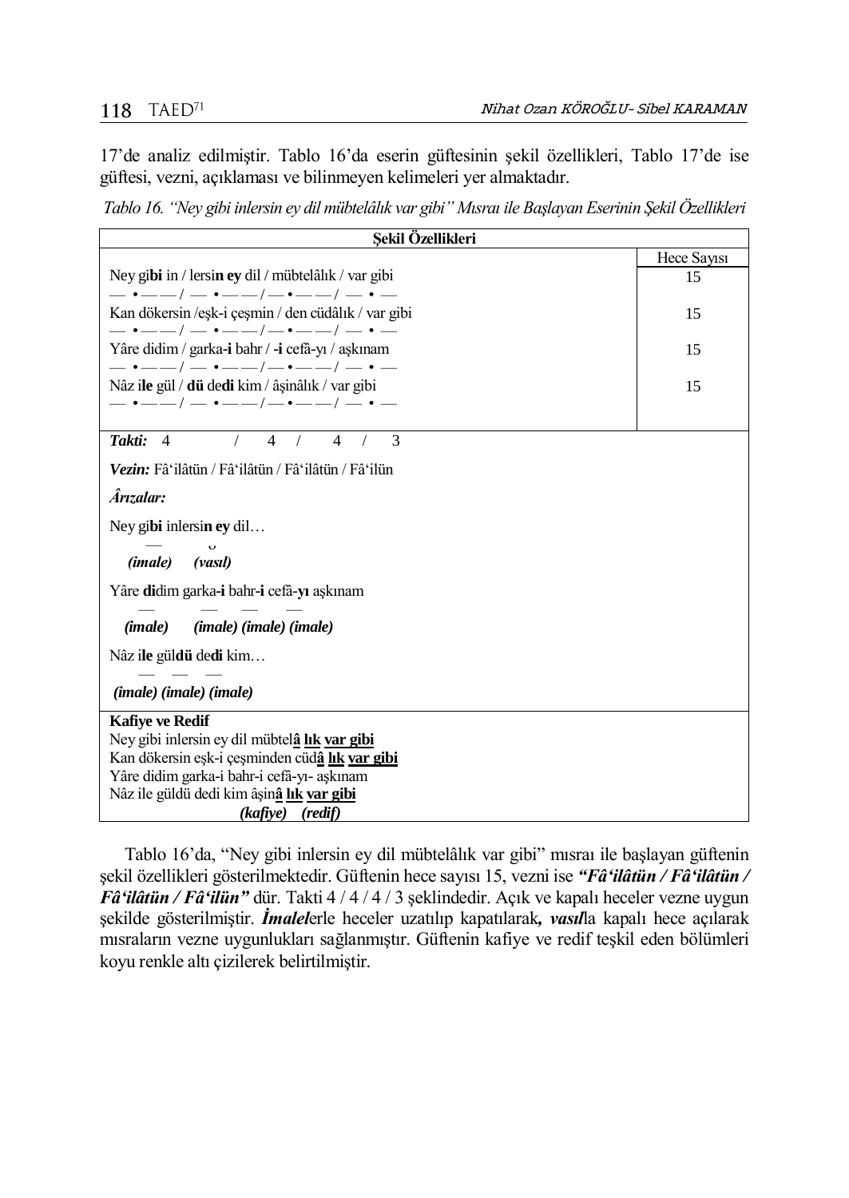17'de analiz edilmiştir. Tablo 16'da eserin güftesinin şekil özellikleri, Tablo 17'de ise güftesi, vezni, açıklaması ve bilinmeyen kelimeleri yer almaktadır.

*Tablo 16. "Ney gibi inlersin ey dil mübtelâlık var gibi" Mısraı ile Başlayan Eserinin Şekil Özellikleri*

| Şekil Özellikleri                                                                                    |             |  |
|------------------------------------------------------------------------------------------------------|-------------|--|
|                                                                                                      | Hece Sayisi |  |
| Ney gibi in / lersin ey dil / mübtelâlık / var gibi                                                  | 15          |  |
| $-$ • $-$ / $-$ • $-$ / $-$ • $-$ / $-$ • $-$                                                        |             |  |
| Kan dökersin /eşk-i çeşmin / den cüdâlık / var gibi<br>$-$ • $-$ / $-$ • $-$ / $-$ • $-$ / $-$ • $-$ | 15          |  |
| Yâre didim / garka-i bahr / -i cefâ-yı / aşkınam                                                     | 15          |  |
| $-$ • $-$ / $-$ • $-$ / $-$ • $-$ / $-$ • $-$                                                        |             |  |
| Nâz ile gül / dü dedi kim / âşinâlık / var gibi                                                      | 15          |  |
| $-$ • $-$ / $-$ • $-$ / $-$ • $-$ / $-$ • $-$                                                        |             |  |
|                                                                                                      |             |  |
| Takti: 4<br>3<br>4<br>$\overline{\mathcal{A}}$<br>$\sqrt{2}$                                         |             |  |
| Vezin: Fâ'ilâtün / Fâ'ilâtün / Fâ'ilâtün / Fâ'ilün                                                   |             |  |
| Ârızalar:                                                                                            |             |  |
|                                                                                                      |             |  |
| Ney gibi inlersin ey dil                                                                             |             |  |
| (vasıl)<br>(imale)                                                                                   |             |  |
| Yâre didim garka-i bahr-i cefâ-yı aşkınam                                                            |             |  |
| $(imale)$ $(imale)$ $(imale)$<br>( <i>imale</i> )                                                    |             |  |
| Nâz ile güldü dedi kim                                                                               |             |  |
| (imale) (imale) (imale)                                                                              |             |  |
| <b>Kafive ve Redif</b>                                                                               |             |  |
| Ney gibi inlersin ey dil mübtelâ lık var gibi                                                        |             |  |
| Kan dökersin eşk-i çeşminden cüdâ lık var gibi                                                       |             |  |
| Yâre didim garka-i bahr-i cefâ-yı- aşkınam                                                           |             |  |
| Nâz ile güldü dedi kim âşinâ lık var gibi                                                            |             |  |
| (kafiye) (redif)                                                                                     |             |  |

Tablo 16'da, "Ney gibi inlersin ey dil mübtelâlık var gibi" mısraı ile başlayan güftenin şekil özellikleri gösterilmektedir. Güftenin hece sayısı 15, vezni ise *"Fâ'ilâtün / Fâ'ilâtün / Fâ'ilâtün / Fâ'ilün"* dür. Takti 4 / 4 / 4 / 3 şeklindedir. Açık ve kapalı heceler vezne uygun şekilde gösterilmiştir. *İmalel*erle heceler uzatılıp kapatılarak*, vasıl*la kapalı hece açılarak mısraların vezne uygunlukları sağlanmıştır. Güftenin kafiye ve redif teşkil eden bölümleri koyu renkle altı çizilerek belirtilmiştir.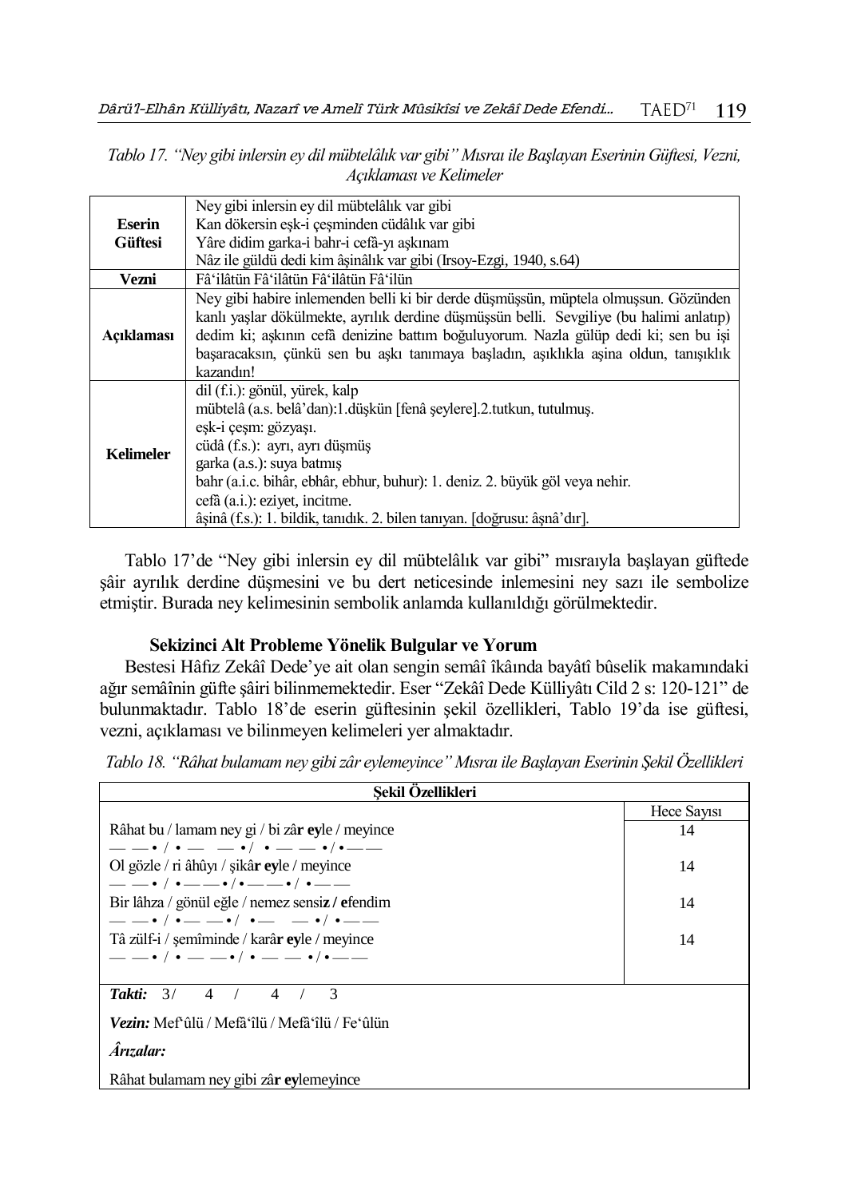|                         | Tablo 17. "Ney gibi inlersin ey dil mübtelâlık var gibi" Mısraı ile Başlayan Eserinin Güftesi, Vezni, |  |
|-------------------------|-------------------------------------------------------------------------------------------------------|--|
| Açıklaması ve Kelimeler |                                                                                                       |  |

|                  | Ney gibi inlersin ey dil mübtelâlık var gibi                                            |
|------------------|-----------------------------------------------------------------------------------------|
| Eserin           | Kan dökersin esk-i çesminden cüdâlık var gibi                                           |
| <b>Güftesi</b>   | Yâre didim garka-i bahr-i cefâ-yı aşkınam                                               |
|                  | Nâz ile güldü dedi kim âşinâlık var gibi (Irsoy-Ezgi, 1940, s.64)                       |
| Vezni            | Fâ'ilâtün Fâ'ilâtün Fâ'ilâtün Fâ'ilün                                                   |
|                  | Ney gibi habire inlemenden belli ki bir derde düşmüşsün, müptela olmuşsun. Gözünden     |
|                  | kanlı yaşlar dökülmekte, ayrılık derdine düşmüşsün belli. Sevgiliye (bu halimi anlatıp) |
| Açıklaması       | dedim ki; aşkının cefâ denizine battım boğuluyorum. Nazla gülüp dedi ki; sen bu işi     |
|                  | başaracaksın, çünkü sen bu aşkı tanımaya başladın, aşıklıkla aşina oldun, tanışıklık    |
|                  | kazandın!                                                                               |
|                  | dil (f.i.): gönül, yürek, kalp                                                          |
|                  | mübtelâ (a.s. belâ'dan):1.düşkün [fenâ şeylere].2.tutkun, tutulmuş.                     |
|                  | eşk-i çeşm: gözyaşı.                                                                    |
|                  | cüdâ (f.s.): ayrı, ayrı düşmüş                                                          |
| <b>Kelimeler</b> | garka (a.s.): suya batmış                                                               |
|                  | bahr (a.i.c. bihâr, ebhâr, ebhur, buhur): 1. deniz. 2. büyük göl veya nehir.            |
|                  | cefà (a.i.): eziyet, incitme.                                                           |
|                  | âșinâ (f.s.): 1. bildik, tanıdık. 2. bilen tanıyan. [doğrusu: âşnâ'dır].                |

Tablo 17'de "Ney gibi inlersin ey dil mübtelâlık var gibi" mısraıyla başlayan güftede şâir ayrılık derdine düşmesini ve bu dert neticesinde inlemesini ney sazı ile sembolize etmiştir. Burada ney kelimesinin sembolik anlamda kullanıldığı görülmektedir.

### **Sekizinci Alt Probleme Yönelik Bulgular ve Yorum**

Bestesi Hâfız Zekâî Dede'ye ait olan sengin semâî îkâında bayâtî bûselik makamındaki ağır semâînin güfte şâiri bilinmemektedir. Eser "Zekâî Dede Külliyâtı Cild 2 s: 120-121" de bulunmaktadır. Tablo 18'de eserin güftesinin şekil özellikleri, Tablo 19'da ise güftesi, vezni, açıklaması ve bilinmeyen kelimeleri yer almaktadır.

*Tablo 18. "Râhat bulamam ney gibi zâr eylemeyince" Mısraı ile Başlayan Eserinin Şekil Özellikleri*

| Sekil Ozellikleri                                                |             |
|------------------------------------------------------------------|-------------|
|                                                                  | Hece Sayisi |
| Râhat bu / lamam ney gi / bi zâr eyle / meyince                  | 14          |
| $--\cdot/:---\cdot/---\cdot/---$                                 |             |
| Ol gözle / ri âhûyı / sikâr eyle / meyince                       | 14          |
| ___________________________                                      |             |
| Bir lâhza / gönül eğle / nemez sensiz / efendim                  | 14          |
| $- - \cdot / - - - \cdot / - - - - \cdot / - - -$                |             |
| Tâ zülf-i / semîminde / karâ <b>r ev</b> le / meyince            | 14          |
| $--\cdot/ \cdot --\cdot/ \cdot --\cdot/ \cdot --\cdot/ \cdot --$ |             |
| Takti: $3/$<br>4/<br>$\overline{4}$<br>$\mathcal{R}$             |             |
| Vezin: Mef <sup>s</sup> ûlü / Mefâ'îlü / Mefâ'îlü / Fe'ûlün      |             |
| <b>Arizalar:</b>                                                 |             |
| Râhat bulamam ney gibi zâr eylemeyince                           |             |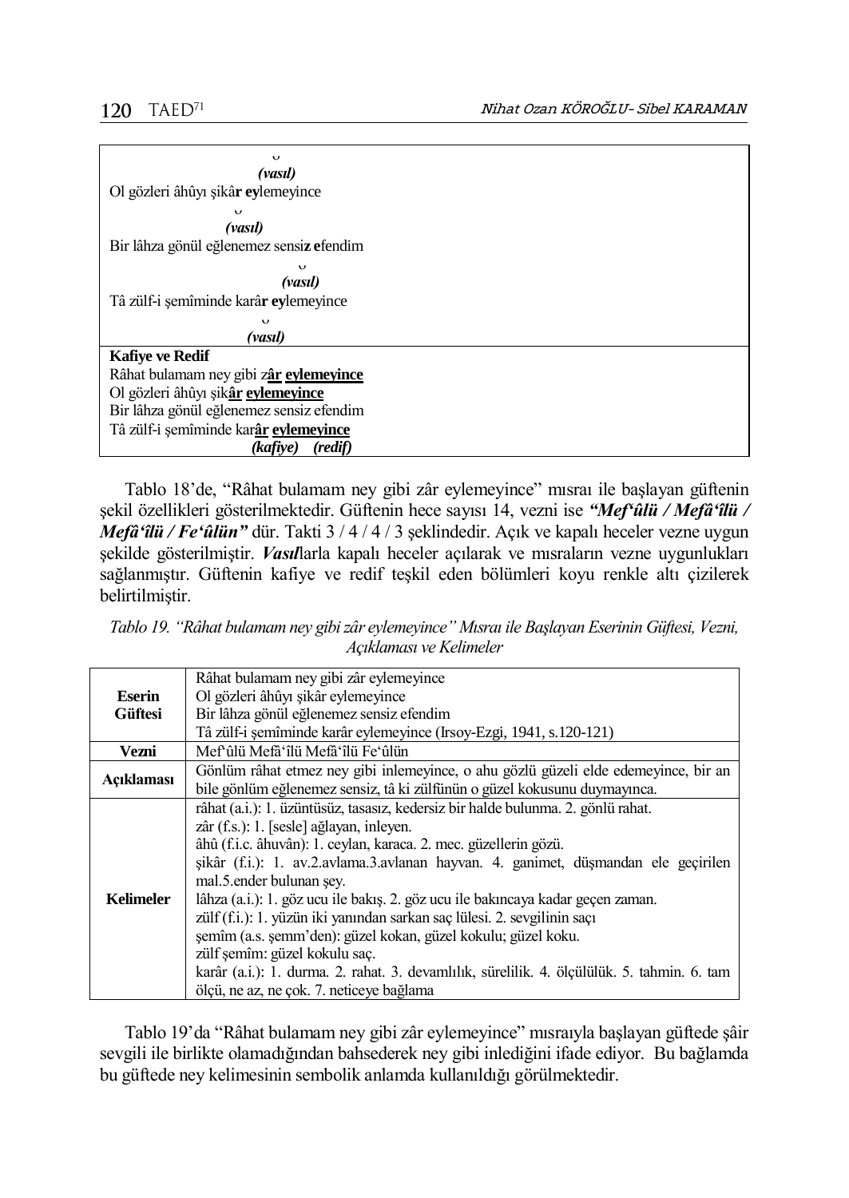

Tablo 18'de, "Râhat bulamam ney gibi zâr eylemeyince" mısraı ile başlayan güftenin şekil özellikleri gösterilmektedir. Güftenin hece sayısı 14, vezni ise *"Mef'ûlü / Mefâ'îlü / Mefâ'îlü / Fe'ûlün"* dür. Takti 3 / 4 / 4 / 3 şeklindedir. Açık ve kapalı heceler vezne uygun şekilde gösterilmiştir. *Vasıl*larla kapalı heceler açılarak ve mısraların vezne uygunlukları sağlanmıştır. Güftenin kafiye ve redif teşkil eden bölümleri koyu renkle altı çizilerek belirtilmiştir.

*Tablo 19. "Râhat bulamam ney gibi zâr eylemeyince" Mısraı ile Başlayan Eserinin Güftesi, Vezni, Açıklaması ve Kelimeler*

|                  | Râhat bulamam ney gibi zâr eylemeyince                                                      |  |
|------------------|---------------------------------------------------------------------------------------------|--|
| Eserin           | Ol gözleri âhûyı sikâr eylemeyince                                                          |  |
| <b>Güftesi</b>   | Bir lâhza gönül eğlenemez sensiz efendim                                                    |  |
|                  | Tâ zülf-i şemîminde karâr eylemeyince (Irsoy-Ezgi, 1941, s.120-121)                         |  |
| Vezni            | Mef'ûlü Mefâ'îlü Mefâ'îlü Fe'ûlün                                                           |  |
| Acıklaması       | Gönlüm râhat etmez ney gibi inlemeyince, o ahu gözlü güzeli elde edemeyince, bir an         |  |
|                  | bile gönlüm eğlenemez sensiz, tâ ki zülfünün o güzel kokusunu duymayınca.                   |  |
|                  | râhat (a.i.): 1. üzüntüsüz, tasasız, kedersiz bir halde bulunma. 2. gönlü rahat.            |  |
|                  | zâr (f.s.): 1. [sesle] ağlayan, inleyen.                                                    |  |
|                  | âhû (f.i.c. âhuvân): 1. ceylan, karaca. 2. mec. güzellerin gözü.                            |  |
|                  | şikâr (f.i.): 1. av.2.avlama.3.avlanan hayvan. 4. ganimet, düşmandan ele geçirilen          |  |
|                  | mal.5. ender bulunan sey.                                                                   |  |
| <b>Kelimeler</b> | lâhza (a.i.): 1. göz ucu ile bakış. 2. göz ucu ile bakıncaya kadar geçen zaman.             |  |
|                  | zülf (f.i.): 1. yüzün iki yanından sarkan saç lülesi. 2. sevgilinin saçı                    |  |
|                  | şemîm (a.s. şemm'den): güzel kokan, güzel kokulu; güzel koku.                               |  |
|                  | zülf semîm: güzel kokulu saç.                                                               |  |
|                  | karâr (a.i.): 1. durma. 2. rahat. 3. devamlılık, sürelilik. 4. ölçülülük. 5. tahmin. 6. tam |  |
|                  | ölçü, ne az, ne çok. 7. neticeye bağlama                                                    |  |

Tablo 19'da "Râhat bulamam ney gibi zâr eylemeyince" mısraıyla başlayan güftede şâir sevgili ile birlikte olamadığından bahsederek ney gibi inlediğini ifade ediyor. Bu bağlamda bu güftede ney kelimesinin sembolik anlamda kullanıldığı görülmektedir.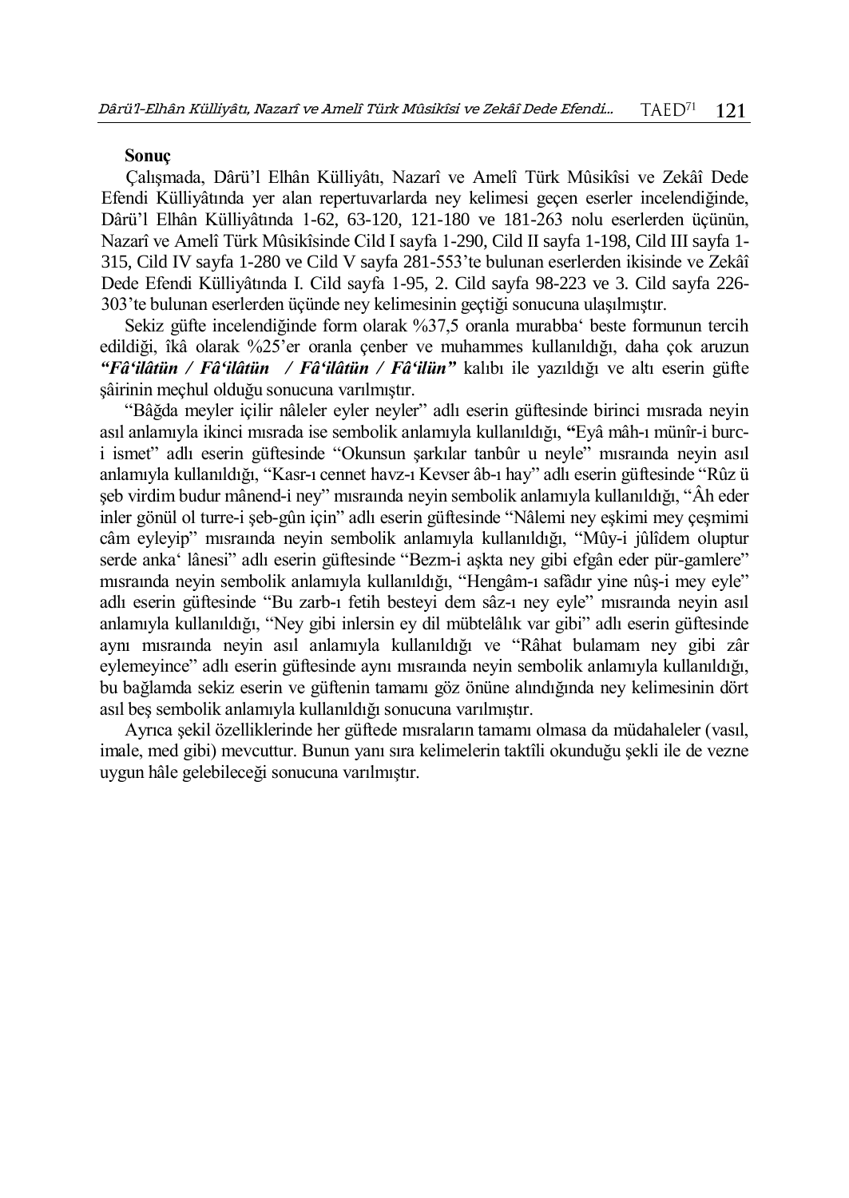## **Sonuç**

Çalışmada, Dârü'l Elhân Külliyâtı, Nazarî ve Amelî Türk Mûsikîsi ve Zekâî Dede Efendi Külliyâtında yer alan repertuvarlarda ney kelimesi geçen eserler incelendiğinde, Dârü'l Elhân Külliyâtında 1-62, 63-120, 121-180 ve 181-263 nolu eserlerden üçünün, Nazarî ve Amelî Türk Mûsikîsinde Cild I sayfa 1-290, Cild II sayfa 1-198, Cild III sayfa 1- 315, Cild IV sayfa 1-280 ve Cild V sayfa 281-553'te bulunan eserlerden ikisinde ve Zekâî Dede Efendi Külliyâtında I. Cild sayfa 1-95, 2. Cild sayfa 98-223 ve 3. Cild sayfa 226- 303'te bulunan eserlerden üçünde ney kelimesinin geçtiği sonucuna ulaşılmıştır.

Sekiz güfte incelendiğinde form olarak %37,5 oranla murabba' beste formunun tercih edildiği, îkâ olarak %25'er oranla çenber ve muhammes kullanıldığı, daha çok aruzun *"Fâ'ilâtün / Fâ'ilâtün / Fâ'ilâtün / Fâ'ilün"* kalıbı ile yazıldığı ve altı eserin güfte şâirinin meçhul olduğu sonucuna varılmıştır.

"Bâğda meyler içilir nâleler eyler neyler" adlı eserin güftesinde birinci mısrada neyin asıl anlamıyla ikinci mısrada ise sembolik anlamıyla kullanıldığı, **"**Eyâ mâh-ı münîr-i burci ismet" adlı eserin güftesinde "Okunsun şarkılar tanbûr u neyle" mısraında neyin asıl anlamıyla kullanıldığı, "Kasr-ı cennet havz-ı Kevser âb-ı hay" adlı eserin güftesinde "Rûz ü şeb virdim budur mânend-i ney" mısraında neyin sembolik anlamıyla kullanıldığı, "Âh eder inler gönül ol turre-i şeb-gûn için" adlı eserin güftesinde "Nâlemi ney eşkimi mey çeşmimi câm eyleyip" mısraında neyin sembolik anlamıyla kullanıldığı, "Mûy-i jûlîdem oluptur serde anka' lânesi" adlı eserin güftesinde "Bezm-i aşkta ney gibi efgân eder pür-gamlere" mısraında neyin sembolik anlamıyla kullanıldığı, "Hengâm-ı safâdır yine nûş-i mey eyle" adlı eserin güftesinde "Bu zarb-ı fetih besteyi dem sâz-ı ney eyle" mısraında neyin asıl anlamıyla kullanıldığı, "Ney gibi inlersin ey dil mübtelâlık var gibi" adlı eserin güftesinde aynı mısraında neyin asıl anlamıyla kullanıldığı ve "Râhat bulamam ney gibi zâr eylemeyince" adlı eserin güftesinde aynı mısraında neyin sembolik anlamıyla kullanıldığı, bu bağlamda sekiz eserin ve güftenin tamamı göz önüne alındığında ney kelimesinin dört asıl beş sembolik anlamıyla kullanıldığı sonucuna varılmıştır.

Ayrıca şekil özelliklerinde her güftede mısraların tamamı olmasa da müdahaleler (vasıl, imale, med gibi) mevcuttur. Bunun yanı sıra kelimelerin taktîli okunduğu şekli ile de vezne uygun hâle gelebileceği sonucuna varılmıştır.